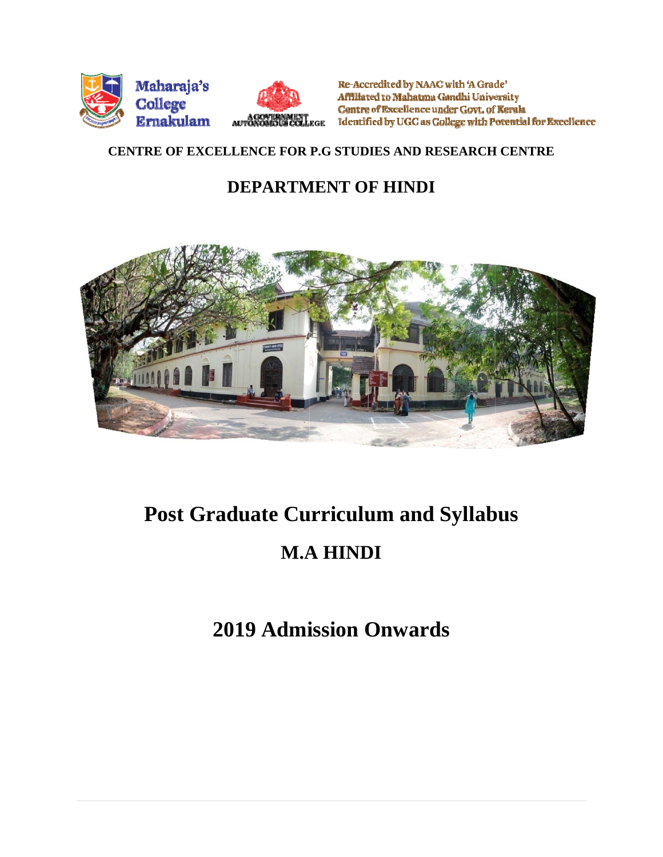

Re-Accredited by NAAC with 'A Grade' Affiliated to Mahatma Gandhi University Centre of Excellence under Govt. of Kerala ACOVIDAMENT Identified by UGC as College with Potential for Excellence

# **CENTRE OF EXCELLENCE FOR P.G STUDIES AND RESEARCH CENTRE**

# **DEPARTMENT OF HINDI**



# **Post Graduate Curriculum and Syllabus M.A A HIND DI**

# **2019 Admission Onwards**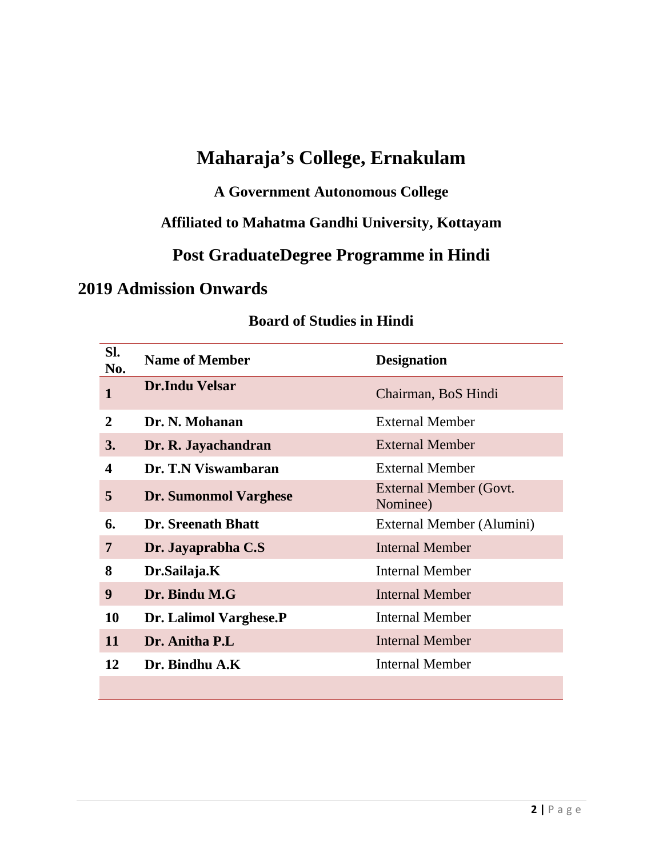# **Maharaja's College, Ernakulam**

# **A Government Autonomous College**

# **Affiliated to Mahatma Gandhi University, Kottayam**

# **Post GraduateDegree Programme in Hindi**

# **2019 Admission Onwards**

| SI.<br>No.   | <b>Name of Member</b>     | <b>Designation</b>                 |
|--------------|---------------------------|------------------------------------|
| $\mathbf{1}$ | <b>Dr.Indu Velsar</b>     | Chairman, BoS Hindi                |
| 2            | Dr. N. Mohanan            | <b>External Member</b>             |
| 3.           | Dr. R. Jayachandran       | <b>External Member</b>             |
| 4            | Dr. T.N Viswambaran       | <b>External Member</b>             |
| 5            | Dr. Sumonmol Varghese     | External Member (Govt.<br>Nominee) |
| 6.           | <b>Dr.</b> Sreenath Bhatt | External Member (Alumini)          |
| 7            | Dr. Jayaprabha C.S        | <b>Internal Member</b>             |
| 8            | Dr.Sailaja.K              | <b>Internal Member</b>             |
| 9            | Dr. Bindu M.G             | <b>Internal Member</b>             |
| 10           | Dr. Lalimol Varghese.P    | <b>Internal Member</b>             |
| 11           | Dr. Anitha P.L            | Internal Member                    |
| 12           | Dr. Bindhu A.K            | <b>Internal Member</b>             |
|              |                           |                                    |

# **Board of Studies in Hindi**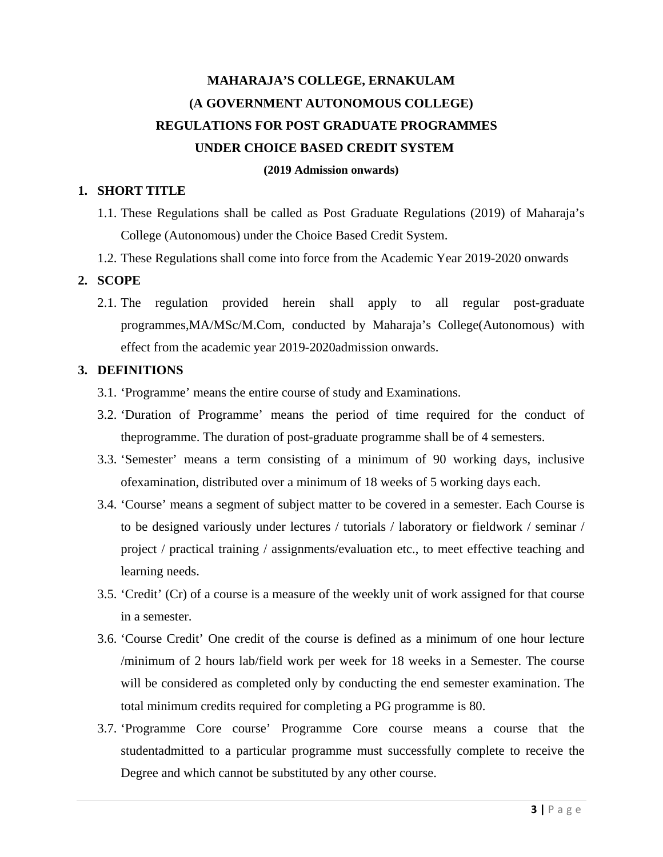# **MAHARAJA'S COLLEGE, ERNAKULAM (A GOVERNMENT AUTONOMOUS COLLEGE) REGULATIONS FOR POST GRADUATE PROGRAMMES UNDER CHOICE BASED CREDIT SYSTEM**

#### **(2019 Admission onwards)**

#### **1. SHORT TITLE**

- 1.1. These Regulations shall be called as Post Graduate Regulations (2019) of Maharaja's College (Autonomous) under the Choice Based Credit System.
- 1.2. These Regulations shall come into force from the Academic Year 2019-2020 onwards

#### **2. SCOPE**

2.1. The regulation provided herein shall apply to all regular post-graduate programmes,MA/MSc/M.Com, conducted by Maharaja's College(Autonomous) with effect from the academic year 2019-2020admission onwards.

#### **3. DEFINITIONS**

- 3.1. 'Programme' means the entire course of study and Examinations.
- 3.2. 'Duration of Programme' means the period of time required for the conduct of theprogramme. The duration of post-graduate programme shall be of 4 semesters.
- 3.3. 'Semester' means a term consisting of a minimum of 90 working days, inclusive ofexamination, distributed over a minimum of 18 weeks of 5 working days each.
- 3.4. 'Course' means a segment of subject matter to be covered in a semester. Each Course is to be designed variously under lectures / tutorials / laboratory or fieldwork / seminar / project / practical training / assignments/evaluation etc., to meet effective teaching and learning needs.
- 3.5. 'Credit' (Cr) of a course is a measure of the weekly unit of work assigned for that course in a semester.
- 3.6. 'Course Credit' One credit of the course is defined as a minimum of one hour lecture /minimum of 2 hours lab/field work per week for 18 weeks in a Semester. The course will be considered as completed only by conducting the end semester examination. The total minimum credits required for completing a PG programme is 80.
- 3.7. 'Programme Core course' Programme Core course means a course that the studentadmitted to a particular programme must successfully complete to receive the Degree and which cannot be substituted by any other course.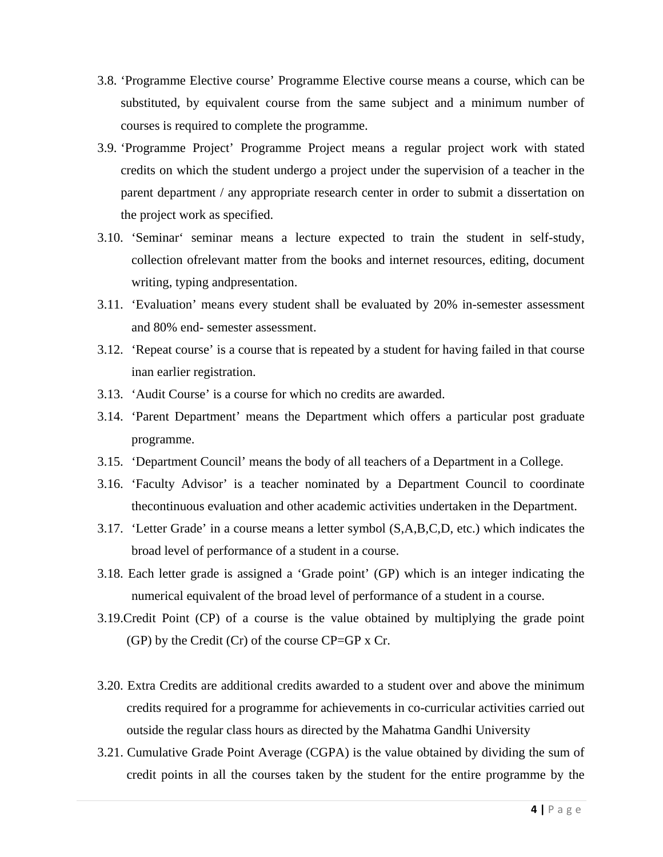- 3.8. 'Programme Elective course' Programme Elective course means a course, which can be substituted, by equivalent course from the same subject and a minimum number of courses is required to complete the programme.
- 3.9. 'Programme Project' Programme Project means a regular project work with stated credits on which the student undergo a project under the supervision of a teacher in the parent department / any appropriate research center in order to submit a dissertation on the project work as specified.
- 3.10. 'Seminar' seminar means a lecture expected to train the student in self-study, collection ofrelevant matter from the books and internet resources, editing, document writing, typing andpresentation.
- 3.11. 'Evaluation' means every student shall be evaluated by 20% in-semester assessment and 80% end- semester assessment.
- 3.12. 'Repeat course' is a course that is repeated by a student for having failed in that course inan earlier registration.
- 3.13. 'Audit Course' is a course for which no credits are awarded.
- 3.14. 'Parent Department' means the Department which offers a particular post graduate programme.
- 3.15. 'Department Council' means the body of all teachers of a Department in a College.
- 3.16. 'Faculty Advisor' is a teacher nominated by a Department Council to coordinate thecontinuous evaluation and other academic activities undertaken in the Department.
- 3.17. 'Letter Grade' in a course means a letter symbol (S,A,B,C,D, etc.) which indicates the broad level of performance of a student in a course.
- 3.18. Each letter grade is assigned a 'Grade point' (GP) which is an integer indicating the numerical equivalent of the broad level of performance of a student in a course.
- 3.19.Credit Point (CP) of a course is the value obtained by multiplying the grade point (GP) by the Credit (Cr) of the course CP=GP x Cr.
- 3.20. Extra Credits are additional credits awarded to a student over and above the minimum credits required for a programme for achievements in co-curricular activities carried out outside the regular class hours as directed by the Mahatma Gandhi University
- 3.21. Cumulative Grade Point Average (CGPA) is the value obtained by dividing the sum of credit points in all the courses taken by the student for the entire programme by the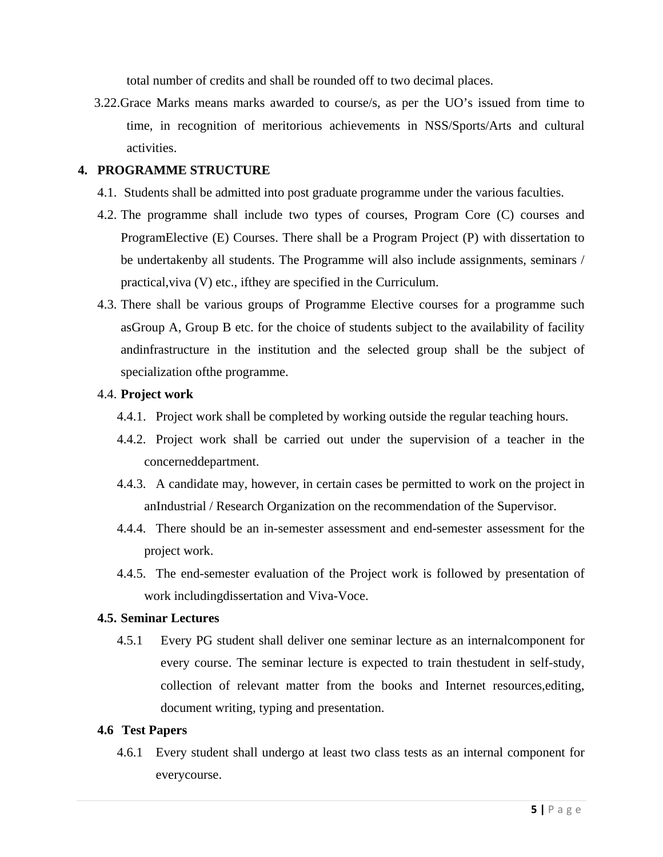total number of credits and shall be rounded off to two decimal places.

 3.22.Grace Marks means marks awarded to course/s, as per the UO's issued from time to time, in recognition of meritorious achievements in NSS/Sports/Arts and cultural activities.

#### **4. PROGRAMME STRUCTURE**

- 4.1. Students shall be admitted into post graduate programme under the various faculties.
- 4.2. The programme shall include two types of courses, Program Core (C) courses and ProgramElective (E) Courses. There shall be a Program Project (P) with dissertation to be undertakenby all students. The Programme will also include assignments, seminars / practical,viva (V) etc., ifthey are specified in the Curriculum.
- 4.3. There shall be various groups of Programme Elective courses for a programme such asGroup A, Group B etc. for the choice of students subject to the availability of facility andinfrastructure in the institution and the selected group shall be the subject of specialization ofthe programme.

#### 4.4. **Project work**

- 4.4.1. Project work shall be completed by working outside the regular teaching hours.
- 4.4.2. Project work shall be carried out under the supervision of a teacher in the concerneddepartment.
- 4.4.3. A candidate may, however, in certain cases be permitted to work on the project in anIndustrial / Research Organization on the recommendation of the Supervisor.
- 4.4.4. There should be an in-semester assessment and end-semester assessment for the project work.
- 4.4.5. The end-semester evaluation of the Project work is followed by presentation of work includingdissertation and Viva-Voce.

#### **4.5. Seminar Lectures**

4.5.1 Every PG student shall deliver one seminar lecture as an internalcomponent for every course. The seminar lecture is expected to train thestudent in self-study, collection of relevant matter from the books and Internet resources,editing, document writing, typing and presentation.

#### **4.6 Test Papers**

4.6.1 Every student shall undergo at least two class tests as an internal component for everycourse.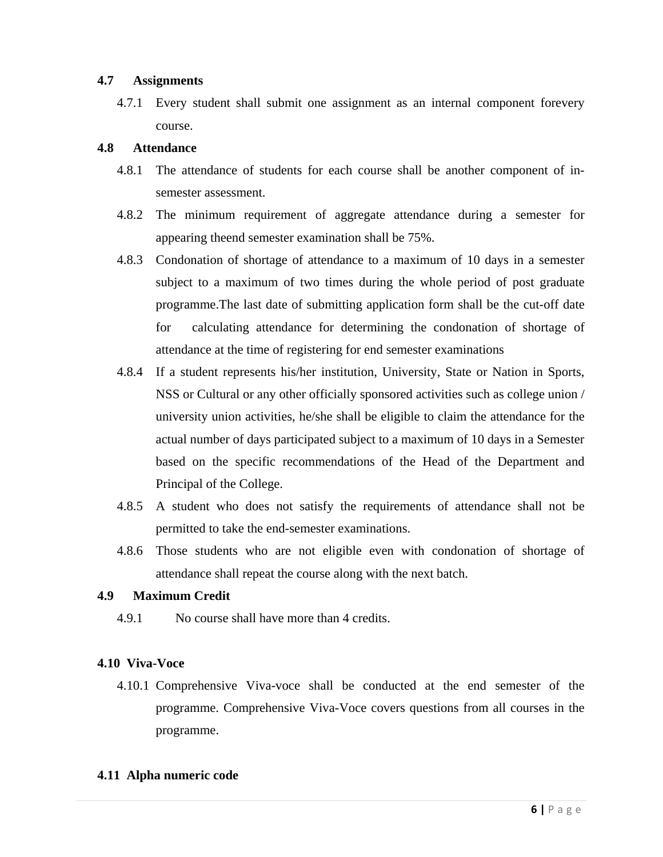#### **4.7 Assignments**

4.7.1 Every student shall submit one assignment as an internal component forevery course.

#### **4.8 Attendance**

- 4.8.1 The attendance of students for each course shall be another component of insemester assessment.
- 4.8.2 The minimum requirement of aggregate attendance during a semester for appearing theend semester examination shall be 75%.
- 4.8.3 Condonation of shortage of attendance to a maximum of 10 days in a semester subject to a maximum of two times during the whole period of post graduate programme.The last date of submitting application form shall be the cut-off date for calculating attendance for determining the condonation of shortage of attendance at the time of registering for end semester examinations
- 4.8.4 If a student represents his/her institution, University, State or Nation in Sports, NSS or Cultural or any other officially sponsored activities such as college union / university union activities, he/she shall be eligible to claim the attendance for the actual number of days participated subject to a maximum of 10 days in a Semester based on the specific recommendations of the Head of the Department and Principal of the College.
- 4.8.5 A student who does not satisfy the requirements of attendance shall not be permitted to take the end-semester examinations.
- 4.8.6 Those students who are not eligible even with condonation of shortage of attendance shall repeat the course along with the next batch.

#### **4.9 Maximum Credit**

4.9.1 No course shall have more than 4 credits.

#### **4.10 Viva-Voce**

4.10.1 Comprehensive Viva-voce shall be conducted at the end semester of the programme. Comprehensive Viva-Voce covers questions from all courses in the programme.

#### **4.11 Alpha numeric code**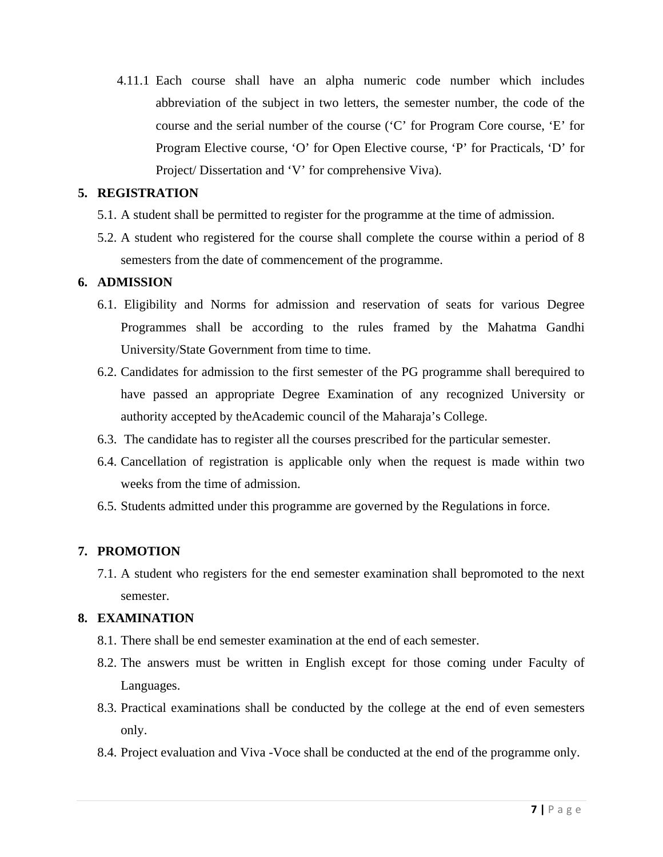4.11.1 Each course shall have an alpha numeric code number which includes abbreviation of the subject in two letters, the semester number, the code of the course and the serial number of the course ('C' for Program Core course, 'E' for Program Elective course, 'O' for Open Elective course, 'P' for Practicals, 'D' for Project/ Dissertation and 'V' for comprehensive Viva).

#### **5. REGISTRATION**

- 5.1. A student shall be permitted to register for the programme at the time of admission.
- 5.2. A student who registered for the course shall complete the course within a period of 8 semesters from the date of commencement of the programme.

#### **6. ADMISSION**

- 6.1. Eligibility and Norms for admission and reservation of seats for various Degree Programmes shall be according to the rules framed by the Mahatma Gandhi University/State Government from time to time.
- 6.2. Candidates for admission to the first semester of the PG programme shall berequired to have passed an appropriate Degree Examination of any recognized University or authority accepted by theAcademic council of the Maharaja's College.
- 6.3. The candidate has to register all the courses prescribed for the particular semester.
- 6.4. Cancellation of registration is applicable only when the request is made within two weeks from the time of admission.
- 6.5. Students admitted under this programme are governed by the Regulations in force.

#### **7. PROMOTION**

7.1. A student who registers for the end semester examination shall bepromoted to the next semester.

#### **8. EXAMINATION**

- 8.1. There shall be end semester examination at the end of each semester.
- 8.2. The answers must be written in English except for those coming under Faculty of Languages.
- 8.3. Practical examinations shall be conducted by the college at the end of even semesters only.
- 8.4. Project evaluation and Viva -Voce shall be conducted at the end of the programme only.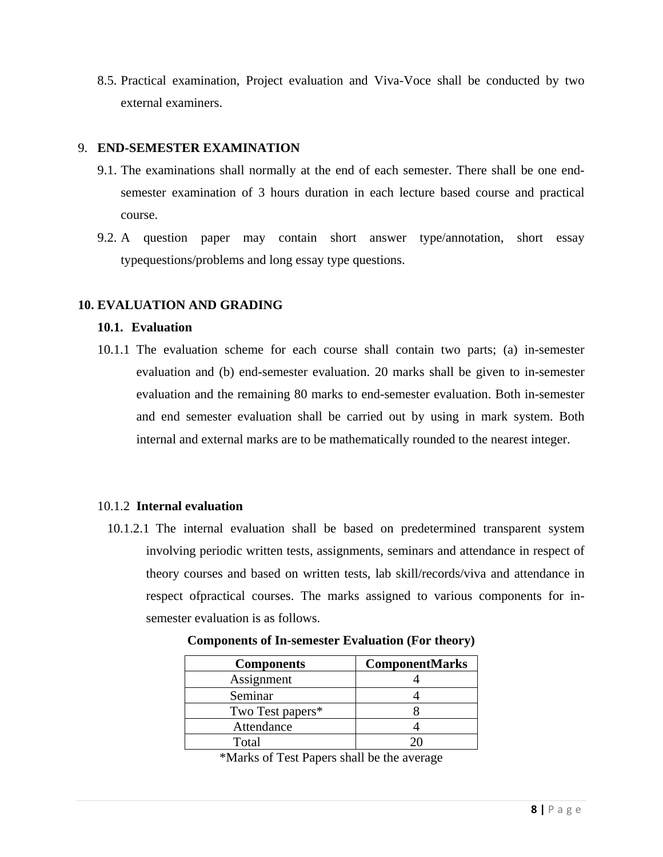8.5. Practical examination, Project evaluation and Viva-Voce shall be conducted by two external examiners.

#### 9. **END-SEMESTER EXAMINATION**

- 9.1. The examinations shall normally at the end of each semester. There shall be one endsemester examination of 3 hours duration in each lecture based course and practical course.
- 9.2. A question paper may contain short answer type/annotation, short essay typequestions/problems and long essay type questions.

#### **10. EVALUATION AND GRADING**

#### **10.1. Evaluation**

10.1.1 The evaluation scheme for each course shall contain two parts; (a) in-semester evaluation and (b) end-semester evaluation. 20 marks shall be given to in-semester evaluation and the remaining 80 marks to end-semester evaluation. Both in-semester and end semester evaluation shall be carried out by using in mark system. Both internal and external marks are to be mathematically rounded to the nearest integer.

#### 10.1.2 **Internal evaluation**

10.1.2.1 The internal evaluation shall be based on predetermined transparent system involving periodic written tests, assignments, seminars and attendance in respect of theory courses and based on written tests, lab skill/records/viva and attendance in respect ofpractical courses. The marks assigned to various components for insemester evaluation is as follows.

| <b>Components</b> | <b>ComponentMarks</b> |
|-------------------|-----------------------|
| Assignment        |                       |
| Seminar           |                       |
| Two Test papers*  |                       |
| Attendance        |                       |
| Total             |                       |

**Components of In-semester Evaluation (For theory)** 

\*Marks of Test Papers shall be the average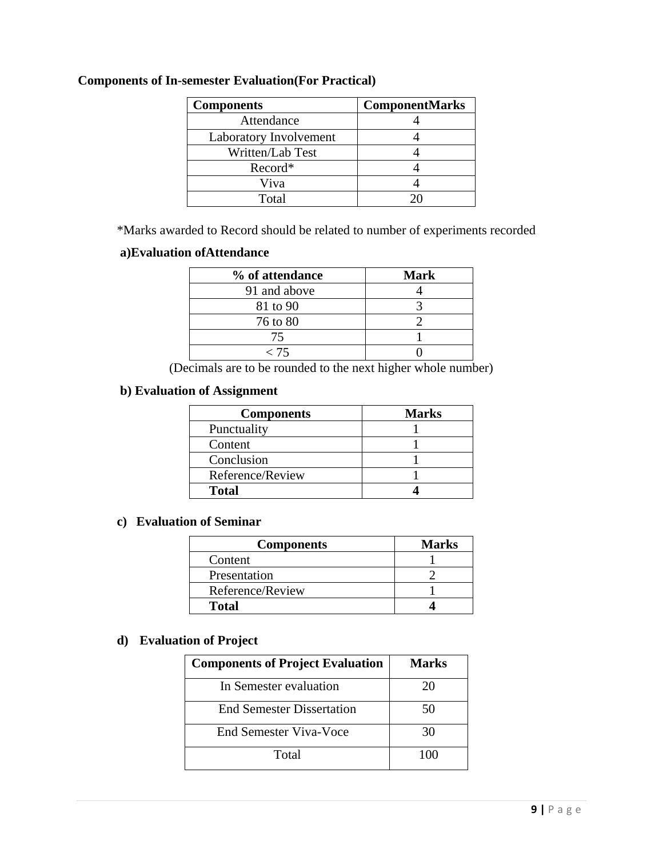| <b>Components</b>      | <b>ComponentMarks</b> |  |  |
|------------------------|-----------------------|--|--|
| Attendance             |                       |  |  |
| Laboratory Involvement |                       |  |  |
| Written/Lab Test       |                       |  |  |
| Record*                |                       |  |  |
| Viva                   |                       |  |  |
| Total                  |                       |  |  |

#### **Components of In-semester Evaluation(For Practical)**

\*Marks awarded to Record should be related to number of experiments recorded

#### **a)Evaluation ofAttendance**

| % of attendance | <b>Mark</b> |
|-----------------|-------------|
| 91 and above    |             |
| 81 to 90        |             |
| 76 to 80        |             |
| 75              |             |
| 75 >            |             |

(Decimals are to be rounded to the next higher whole number)

#### **b) Evaluation of Assignment**

| <b>Components</b> | <b>Marks</b> |
|-------------------|--------------|
| Punctuality       |              |
| Content           |              |
| Conclusion        |              |
| Reference/Review  |              |
| <b>Total</b>      |              |

#### **c) Evaluation of Seminar**

| <b>Components</b> | <b>Marks</b> |
|-------------------|--------------|
| Content           |              |
| Presentation      |              |
| Reference/Review  |              |
| <b>Total</b>      |              |

#### **d) Evaluation of Project**

| <b>Components of Project Evaluation</b> | Marks |
|-----------------------------------------|-------|
| In Semester evaluation                  | 20    |
| <b>End Semester Dissertation</b>        | 50    |
| End Semester Viva-Voce                  | 30    |
| Total                                   |       |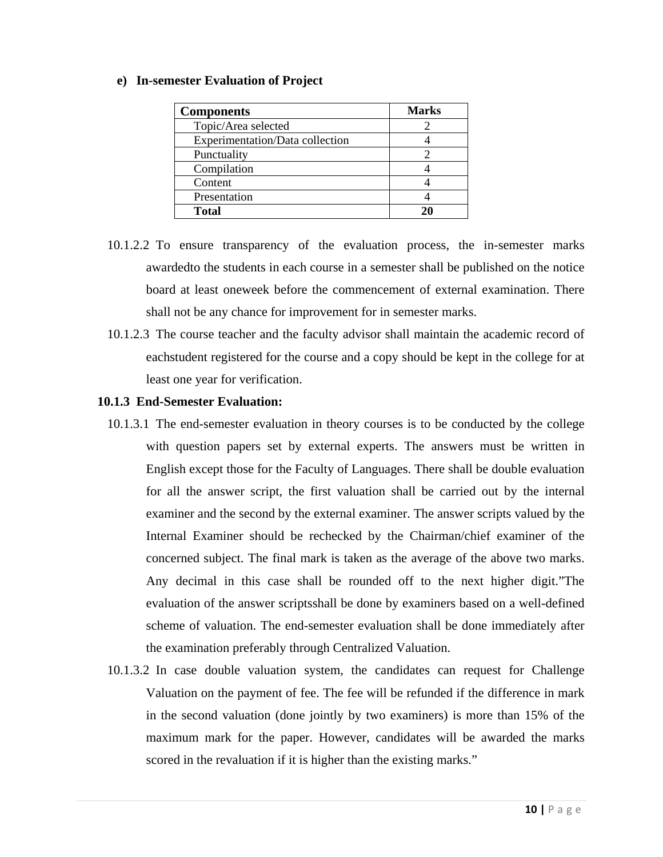#### **e) In-semester Evaluation of Project**

| <b>Components</b>               | <b>Marks</b> |
|---------------------------------|--------------|
| Topic/Area selected             |              |
| Experimentation/Data collection |              |
| Punctuality                     |              |
| Compilation                     |              |
| Content                         |              |
| Presentation                    |              |
| <b>Total</b>                    |              |

- 10.1.2.2 To ensure transparency of the evaluation process, the in-semester marks awardedto the students in each course in a semester shall be published on the notice board at least oneweek before the commencement of external examination. There shall not be any chance for improvement for in semester marks.
- 10.1.2.3 The course teacher and the faculty advisor shall maintain the academic record of eachstudent registered for the course and a copy should be kept in the college for at least one year for verification.

#### **10.1.3 End-Semester Evaluation:**

- 10.1.3.1 The end-semester evaluation in theory courses is to be conducted by the college with question papers set by external experts. The answers must be written in English except those for the Faculty of Languages. There shall be double evaluation for all the answer script, the first valuation shall be carried out by the internal examiner and the second by the external examiner. The answer scripts valued by the Internal Examiner should be rechecked by the Chairman/chief examiner of the concerned subject. The final mark is taken as the average of the above two marks. Any decimal in this case shall be rounded off to the next higher digit."The evaluation of the answer scriptsshall be done by examiners based on a well-defined scheme of valuation. The end-semester evaluation shall be done immediately after the examination preferably through Centralized Valuation.
- 10.1.3.2 In case double valuation system, the candidates can request for Challenge Valuation on the payment of fee. The fee will be refunded if the difference in mark in the second valuation (done jointly by two examiners) is more than 15% of the maximum mark for the paper. However, candidates will be awarded the marks scored in the revaluation if it is higher than the existing marks."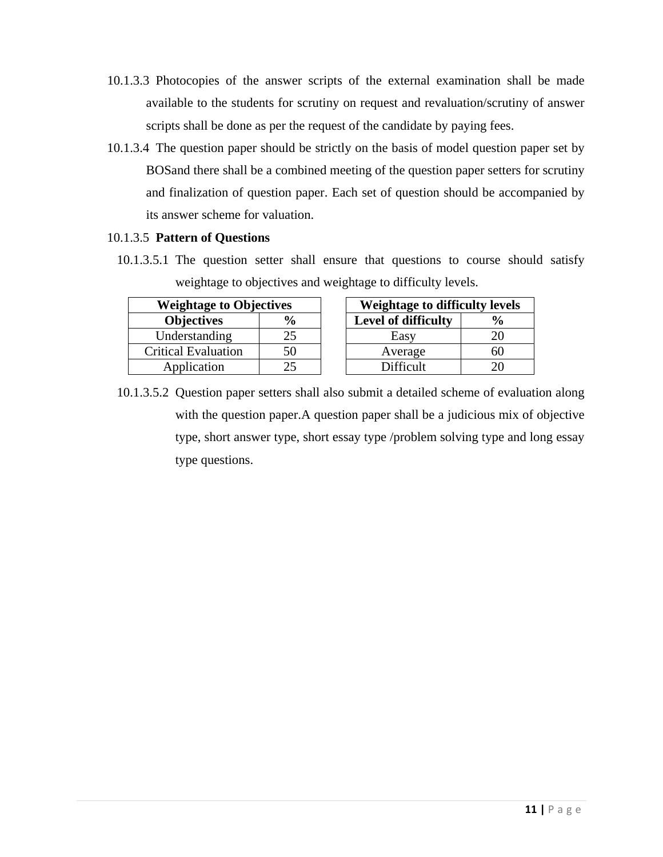- 10.1.3.3 Photocopies of the answer scripts of the external examination shall be made available to the students for scrutiny on request and revaluation/scrutiny of answer scripts shall be done as per the request of the candidate by paying fees.
- 10.1.3.4 The question paper should be strictly on the basis of model question paper set by BOSand there shall be a combined meeting of the question paper setters for scrutiny and finalization of question paper. Each set of question should be accompanied by its answer scheme for valuation.

#### 10.1.3.5 **Pattern of Questions**

10.1.3.5.1 The question setter shall ensure that questions to course should satisfy weightage to objectives and weightage to difficulty levels.

| <b>Weightage to Objectives</b> |               |  | Weightage to difficulty leve |  |  |
|--------------------------------|---------------|--|------------------------------|--|--|
| <b>Objectives</b>              | $\frac{0}{0}$ |  | Level of difficulty          |  |  |
| Understanding                  | 25            |  | Easy                         |  |  |
| <b>Critical Evaluation</b>     | 50            |  | Average                      |  |  |
| Application                    |               |  | Difficult                    |  |  |

| <b>Weightage to Objectives</b> |               |  | Weightage to difficulty levels |     |  |
|--------------------------------|---------------|--|--------------------------------|-----|--|
| <b>Objectives</b>              | $\frac{0}{0}$ |  | Level of difficulty            |     |  |
| Understanding                  | 25            |  | Easy                           |     |  |
| itical Evaluation              | 50            |  | Average                        | ่าเ |  |
| Application                    |               |  | <b>Difficult</b>               |     |  |

10.1.3.5.2 Question paper setters shall also submit a detailed scheme of evaluation along with the question paper.A question paper shall be a judicious mix of objective type, short answer type, short essay type /problem solving type and long essay type questions.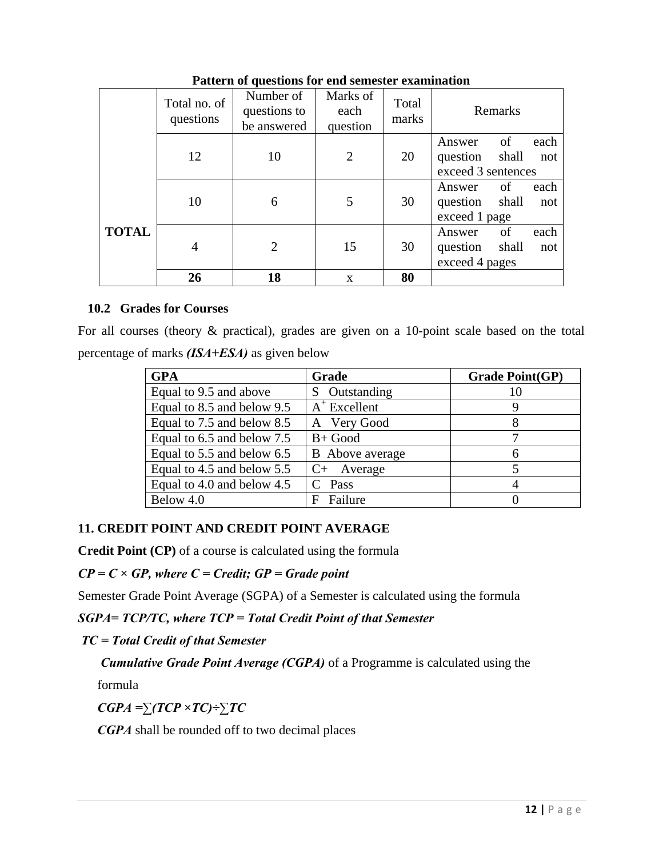|              | Total no. of<br>questions | Number of<br>questions to<br>be answered | Marks of<br>each<br>question | Total<br>marks | Remarks                                                                |
|--------------|---------------------------|------------------------------------------|------------------------------|----------------|------------------------------------------------------------------------|
|              | 12                        | 10                                       | $\overline{2}$               | 20             | of<br>each<br>Answer<br>shall<br>question<br>not<br>exceed 3 sentences |
|              | 10                        | 6                                        | 5                            | 30             | of<br>each<br>Answer<br>shall<br>question<br>not<br>exceed 1 page      |
| <b>TOTAL</b> | $\overline{4}$            | $\overline{2}$                           | 15                           | 30             | each<br>of<br>Answer<br>shall<br>question<br>not<br>exceed 4 pages     |
|              | 26                        | 18                                       | $\mathbf{x}$                 | 80             |                                                                        |

**Pattern of questions for end semester examination** 

#### **10.2 Grades for Courses**

For all courses (theory & practical), grades are given on a 10-point scale based on the total percentage of marks *(ISA+ESA)* as given below

| <b>GPA</b>                 | Grade                  | <b>Grade Point(GP)</b> |
|----------------------------|------------------------|------------------------|
| Equal to 9.5 and above     | Outstanding<br>S.      | 10                     |
| Equal to 8.5 and below 9.5 | $A^+$ Excellent        |                        |
| Equal to 7.5 and below 8.5 | A Very Good            |                        |
| Equal to 6.5 and below 7.5 | $B+Good$               |                        |
| Equal to 5.5 and below 6.5 | <b>B</b> Above average | 6                      |
| Equal to 4.5 and below 5.5 | $C+$ Average           |                        |
| Equal to 4.0 and below 4.5 | C Pass                 |                        |
| Below 4.0                  | Failure<br>Е           |                        |

### **11. CREDIT POINT AND CREDIT POINT AVERAGE**

**Credit Point (CP)** of a course is calculated using the formula

*CP = C × GP, where C = Credit; GP = Grade point*

Semester Grade Point Average (SGPA) of a Semester is calculated using the formula

*SGPA= TCP/TC, where TCP = Total Credit Point of that Semester* 

 *TC = Total Credit of that Semester* 

 *Cumulative Grade Point Average (CGPA)* of a Programme is calculated using the

formula

*CGPA =∑(TCP ×TC)÷∑TC* 

*CGPA* shall be rounded off to two decimal places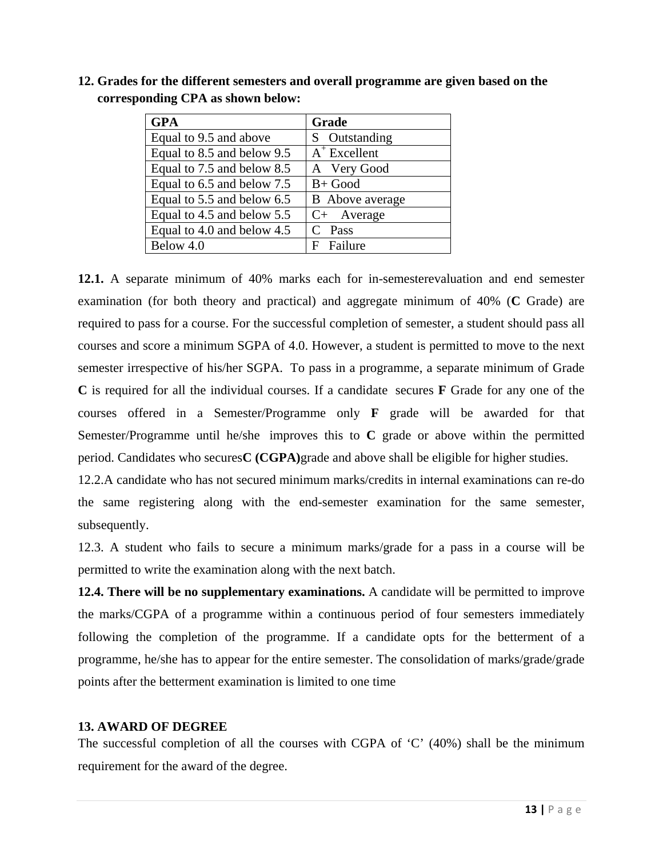| <b>GPA</b>                 | Grade                  |
|----------------------------|------------------------|
| Equal to 9.5 and above     | S Outstanding          |
| Equal to 8.5 and below 9.5 | $A^+$ Excellent        |
| Equal to 7.5 and below 8.5 | A Very Good            |
| Equal to 6.5 and below 7.5 | $B+Good$               |
| Equal to 5.5 and below 6.5 | <b>B</b> Above average |
| Equal to 4.5 and below 5.5 | $C+$ Average           |
| Equal to 4.0 and below 4.5 | $C$ Pass               |
| Below 4.0                  | Failure<br>F           |

**12. Grades for the different semesters and overall programme are given based on the corresponding CPA as shown below:** 

**12.1.** A separate minimum of 40% marks each for in-semesterevaluation and end semester examination (for both theory and practical) and aggregate minimum of 40% (**C** Grade) are required to pass for a course. For the successful completion of semester, a student should pass all courses and score a minimum SGPA of 4.0. However, a student is permitted to move to the next semester irrespective of his/her SGPA. To pass in a programme, a separate minimum of Grade **C** is required for all the individual courses. If a candidate secures **F** Grade for any one of the courses offered in a Semester/Programme only **F** grade will be awarded for that Semester/Programme until he/she improves this to **C** grade or above within the permitted period. Candidates who secures**C (CGPA)**grade and above shall be eligible for higher studies.

12.2.A candidate who has not secured minimum marks/credits in internal examinations can re-do the same registering along with the end-semester examination for the same semester, subsequently.

12.3. A student who fails to secure a minimum marks/grade for a pass in a course will be permitted to write the examination along with the next batch.

**12.4. There will be no supplementary examinations.** A candidate will be permitted to improve the marks/CGPA of a programme within a continuous period of four semesters immediately following the completion of the programme. If a candidate opts for the betterment of a programme, he/she has to appear for the entire semester. The consolidation of marks/grade/grade points after the betterment examination is limited to one time

#### **13. AWARD OF DEGREE**

The successful completion of all the courses with CGPA of 'C' (40%) shall be the minimum requirement for the award of the degree.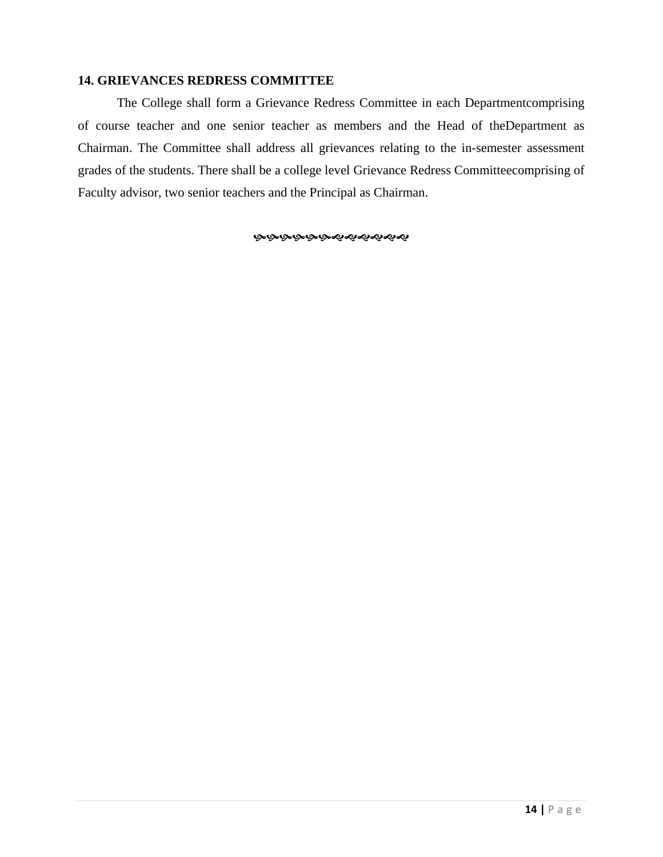#### **14. GRIEVANCES REDRESS COMMITTEE**

 The College shall form a Grievance Redress Committee in each Departmentcomprising of course teacher and one senior teacher as members and the Head of theDepartment as Chairman. The Committee shall address all grievances relating to the in-semester assessment grades of the students. There shall be a college level Grievance Redress Committeecomprising of Faculty advisor, two senior teachers and the Principal as Chairman.

**ক্ৰক্ৰক্ৰক্ৰক্ৰৰ্থকৰ্ম্বৰ**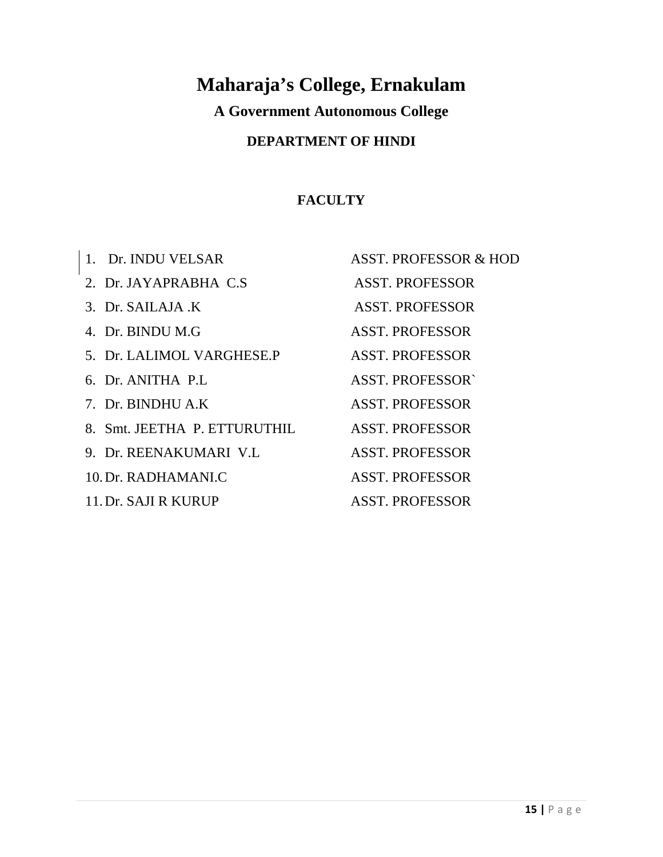# **Maharaja's College, Ernakulam**

**A Government Autonomous College**

# **DEPARTMENT OF HINDI**

# **FACULTY**

| 1. Dr. INDU VELSAR           | <b>ASST. PROFESSOR &amp; HOD</b> |
|------------------------------|----------------------------------|
| 2. Dr. JAYAPRABHA C.S.       | <b>ASST. PROFESSOR</b>           |
| 3. Dr. SAILAJA K             | <b>ASST. PROFESSOR</b>           |
| 4. Dr. BINDU M.G             | <b>ASST. PROFESSOR</b>           |
| 5. Dr. LALIMOL VARGHESE.P    | <b>ASST. PROFESSOR</b>           |
| 6. Dr. ANITHA P.L.           | <b>ASST. PROFESSORY</b>          |
| 7. Dr. BINDHU A.K.           | <b>ASST. PROFESSOR</b>           |
| 8. Smt. JEETHA P. ETTURUTHIL | <b>ASST. PROFESSOR</b>           |
| 9. Dr. REENAKUMARI V.L       | <b>ASST. PROFESSOR</b>           |
| 10. Dr. RADHAMANI.C          | <b>ASST. PROFESSOR</b>           |
| 11. Dr. SAJI R KURUP         | <b>ASST. PROFESSOR</b>           |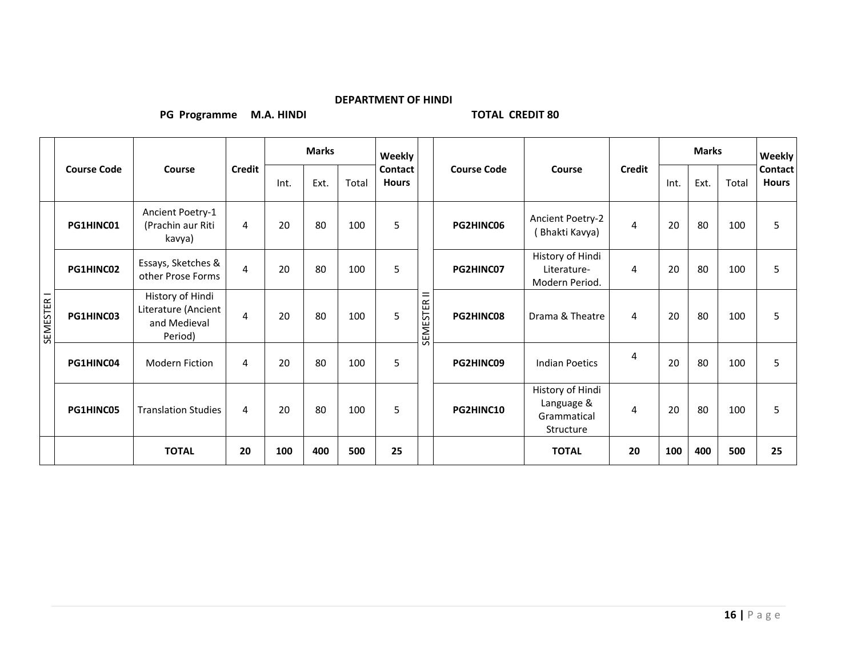#### **DEPARTMENT OF HINDI**

**PG Programme M.A. HINDI TOTAL CREDIT 80**

|            |                    | Course                                                             |                | <b>Marks</b> |      |       | Weekly                         |                    |           |                                                            |      |      | <b>Weekly</b> |                                |    |
|------------|--------------------|--------------------------------------------------------------------|----------------|--------------|------|-------|--------------------------------|--------------------|-----------|------------------------------------------------------------|------|------|---------------|--------------------------------|----|
|            | <b>Course Code</b> |                                                                    | <b>Credit</b>  | Int.         | Ext. | Total | <b>Contact</b><br><b>Hours</b> | <b>Course Code</b> | Course    | <b>Credit</b>                                              | Int. | Ext. | Total         | <b>Contact</b><br><b>Hours</b> |    |
|            | PG1HINC01          | Ancient Poetry-1<br>(Prachin aur Riti<br>kavya)                    | 4              | 20           | 80   | 100   | 5                              |                    | PG2HINC06 | Ancient Poetry-2<br>(Bhakti Kavya)                         | 4    | 20   | 80            | 100                            | 5  |
|            | PG1HINC02          | Essays, Sketches &<br>other Prose Forms                            | 4              | 20           | 80   | 100   | 5                              |                    | PG2HINC07 | History of Hindi<br>Literature-<br>Modern Period.          | 4    | 20   | 80            | 100                            | 5  |
| SEMESTER I | PG1HINC03          | History of Hindi<br>Literature (Ancient<br>and Medieval<br>Period) | $\overline{4}$ | 20           | 80   | 100   | 5                              | $=$<br>SEMESTER    | PG2HINC08 | Drama & Theatre                                            | 4    | 20   | 80            | 100                            | 5  |
|            | PG1HINC04          | <b>Modern Fiction</b>                                              | 4              | 20           | 80   | 100   | 5                              |                    | PG2HINC09 | <b>Indian Poetics</b>                                      | 4    | 20   | 80            | 100                            | 5  |
|            | PG1HINC05          | <b>Translation Studies</b>                                         | 4              | 20           | 80   | 100   | 5                              |                    | PG2HINC10 | History of Hindi<br>Language &<br>Grammatical<br>Structure | 4    | 20   | 80            | 100                            | 5  |
|            |                    | <b>TOTAL</b>                                                       | 20             | 100          | 400  | 500   | 25                             |                    |           | <b>TOTAL</b>                                               | 20   | 100  | 400           | 500                            | 25 |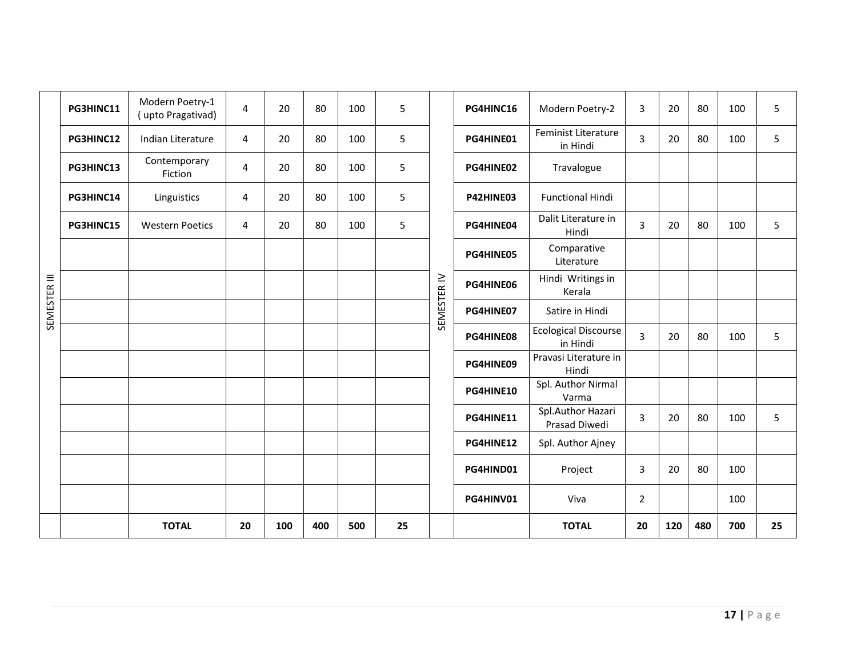|              | PG3HINC11 | Modern Poetry-1<br>(upto Pragativad) | $\overline{4}$ | 20  | 80  | 100 | 5  |             | PG4HINC16 | Modern Poetry-2                         | 3              | 20  | 80  | 100 | 5  |
|--------------|-----------|--------------------------------------|----------------|-----|-----|-----|----|-------------|-----------|-----------------------------------------|----------------|-----|-----|-----|----|
|              | PG3HINC12 | Indian Literature                    | 4              | 20  | 80  | 100 | 5  |             | PG4HINE01 | Feminist Literature<br>in Hindi         | 3              | 20  | 80  | 100 | 5  |
|              | PG3HINC13 | Contemporary<br>Fiction              | 4              | 20  | 80  | 100 | 5  |             | PG4HINE02 | Travalogue                              |                |     |     |     |    |
|              | PG3HINC14 | Linguistics                          | 4              | 20  | 80  | 100 | 5  |             | P42HINE03 | <b>Functional Hindi</b>                 |                |     |     |     |    |
|              | PG3HINC15 | <b>Western Poetics</b>               | 4              | 20  | 80  | 100 | 5  |             | PG4HINE04 | Dalit Literature in<br>Hindi            | 3              | 20  | 80  | 100 | 5  |
|              |           |                                      |                |     |     |     |    |             | PG4HINE05 | Comparative<br>Literature               |                |     |     |     |    |
| SEMESTER III |           |                                      |                |     |     |     |    | SEMESTER IV | PG4HINE06 | Hindi Writings in<br>Kerala             |                |     |     |     |    |
|              |           |                                      |                |     |     |     |    |             | PG4HINE07 | Satire in Hindi                         |                |     |     |     |    |
|              |           |                                      |                |     |     |     |    |             | PG4HINE08 | <b>Ecological Discourse</b><br>in Hindi | 3              | 20  | 80  | 100 | 5  |
|              |           |                                      |                |     |     |     |    |             | PG4HINE09 | Pravasi Literature in<br>Hindi          |                |     |     |     |    |
|              |           |                                      |                |     |     |     |    |             | PG4HINE10 | Spl. Author Nirmal<br>Varma             |                |     |     |     |    |
|              |           |                                      |                |     |     |     |    |             | PG4HINE11 | Spl.Author Hazari<br>Prasad Diwedi      | 3              | 20  | 80  | 100 | 5  |
|              |           |                                      |                |     |     |     |    |             | PG4HINE12 | Spl. Author Ajney                       |                |     |     |     |    |
|              |           |                                      |                |     |     |     |    |             | PG4HIND01 | Project                                 | 3              | 20  | 80  | 100 |    |
|              |           |                                      |                |     |     |     |    |             | PG4HINV01 | Viva                                    | $\overline{2}$ |     |     | 100 |    |
|              |           | <b>TOTAL</b>                         | 20             | 100 | 400 | 500 | 25 |             |           | <b>TOTAL</b>                            | 20             | 120 | 480 | 700 | 25 |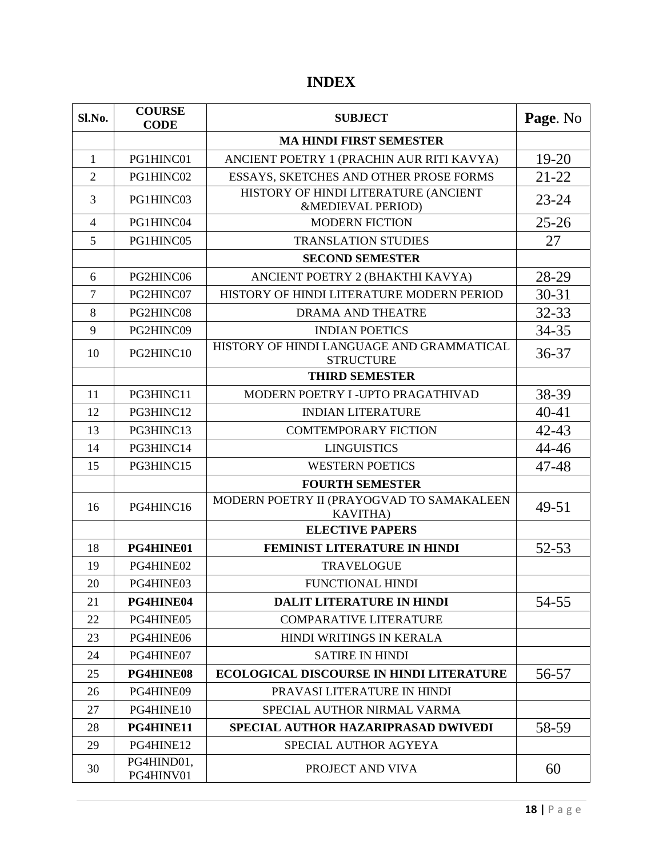# **INDEX**

| Sl.No.         | <b>COURSE</b><br><b>CODE</b> | <b>SUBJECT</b>                                                | Page. No  |
|----------------|------------------------------|---------------------------------------------------------------|-----------|
|                |                              | <b>MA HINDI FIRST SEMESTER</b>                                |           |
| $\mathbf{1}$   | PG1HINC01                    | ANCIENT POETRY 1 (PRACHIN AUR RITI KAVYA)                     | $19 - 20$ |
| $\overline{2}$ | PG1HINC02                    | ESSAYS, SKETCHES AND OTHER PROSE FORMS                        | $21 - 22$ |
| 3              | PG1HINC03                    | HISTORY OF HINDI LITERATURE (ANCIENT<br>&MEDIEVAL PERIOD)     | $23 - 24$ |
| $\overline{4}$ | PG1HINC04                    | <b>MODERN FICTION</b>                                         | $25 - 26$ |
| 5              | PG1HINC05                    | <b>TRANSLATION STUDIES</b>                                    | 27        |
|                |                              | <b>SECOND SEMESTER</b>                                        |           |
| 6              | PG2HINC06                    | ANCIENT POETRY 2 (BHAKTHI KAVYA)                              | 28-29     |
| 7              | PG2HINC07                    | HISTORY OF HINDI LITERATURE MODERN PERIOD                     | $30 - 31$ |
| 8              | PG2HINC08                    | DRAMA AND THEATRE                                             | $32 - 33$ |
| 9              | PG2HINC09                    | <b>INDIAN POETICS</b>                                         | 34-35     |
| 10             | PG2HINC10                    | HISTORY OF HINDI LANGUAGE AND GRAMMATICAL<br><b>STRUCTURE</b> | $36 - 37$ |
|                |                              | <b>THIRD SEMESTER</b>                                         |           |
| 11             | PG3HINC11                    | MODERN POETRY I -UPTO PRAGATHIVAD                             | 38-39     |
| 12             | PG3HINC12                    | <b>INDIAN LITERATURE</b>                                      | $40 - 41$ |
| 13             | PG3HINC13                    | <b>COMTEMPORARY FICTION</b>                                   | $42 - 43$ |
| 14             | PG3HINC14                    | <b>LINGUISTICS</b>                                            | 44-46     |
| 15             | PG3HINC15                    | <b>WESTERN POETICS</b>                                        | 47-48     |
|                |                              | <b>FOURTH SEMESTER</b>                                        |           |
| 16             | PG4HINC16                    | MODERN POETRY II (PRAYOGVAD TO SAMAKALEEN<br><b>KAVITHA</b> ) | 49-51     |
|                |                              | <b>ELECTIVE PAPERS</b>                                        |           |
| 18             | PG4HINE01                    | FEMINIST LITERATURE IN HINDI                                  | 52-53     |
| 19             | PG4HINE02                    | <b>TRAVELOGUE</b>                                             |           |
| 20             | PG4HINE03                    | <b>FUNCTIONAL HINDI</b>                                       |           |
| 21             | PG4HINE04                    | <b>DALIT LITERATURE IN HINDI</b>                              | 54-55     |
| 22             | PG4HINE05                    | <b>COMPARATIVE LITERATURE</b>                                 |           |
| 23             | PG4HINE06                    | HINDI WRITINGS IN KERALA                                      |           |
| 24             | PG4HINE07                    | <b>SATIRE IN HINDI</b>                                        |           |
| 25             | PG4HINE08                    | <b>ECOLOGICAL DISCOURSE IN HINDI LITERATURE</b>               | 56-57     |
| 26             | PG4HINE09                    | PRAVASI LITERATURE IN HINDI                                   |           |
| 27             | PG4HINE10                    | SPECIAL AUTHOR NIRMAL VARMA                                   |           |
| 28             | PG4HINE11                    | SPECIAL AUTHOR HAZARIPRASAD DWIVEDI                           | 58-59     |
| 29             | PG4HINE12                    | SPECIAL AUTHOR AGYEYA                                         |           |
| 30             | PG4HIND01,<br>PG4HINV01      | PROJECT AND VIVA                                              | 60        |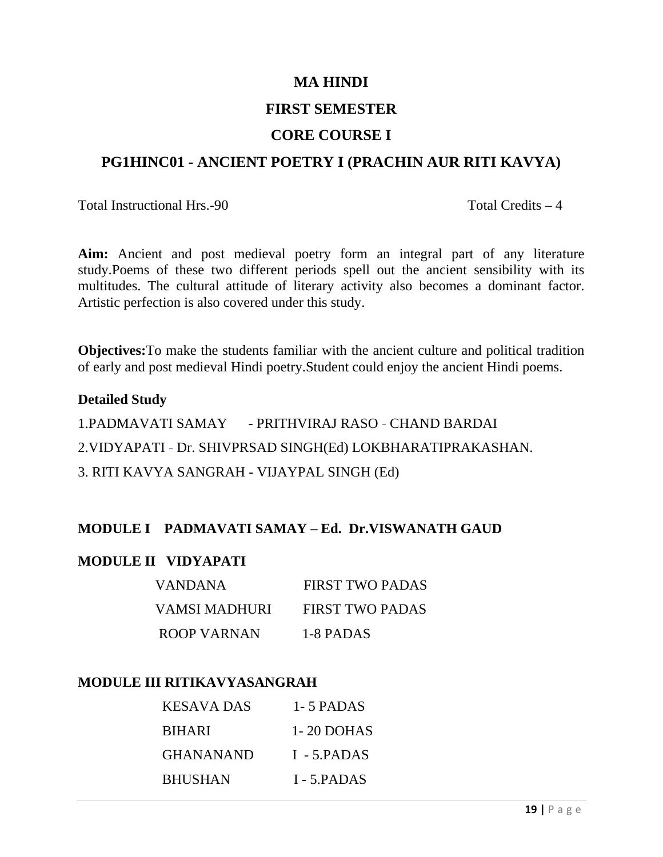#### **MA HINDI**

## **FIRST SEMESTER**

## **CORE COURSE I**

## **PG1HINC01 - ANCIENT POETRY I (PRACHIN AUR RITI KAVYA)**

Total Instructional Hrs. -90 Total Credits – 4

**Aim:** Ancient and post medieval poetry form an integral part of any literature study.Poems of these two different periods spell out the ancient sensibility with its multitudes. The cultural attitude of literary activity also becomes a dominant factor. Artistic perfection is also covered under this study.

**Objectives:**To make the students familiar with the ancient culture and political tradition of early and post medieval Hindi poetry.Student could enjoy the ancient Hindi poems.

#### **Detailed Study**

1.PADMAVATI SAMAY - PRITHVIRAJ RASO - CHAND BARDAI 2.VIDYAPATI - Dr. SHIVPRSAD SINGH(Ed) LOKBHARATIPRAKASHAN. 3. RITI KAVYA SANGRAH - VIJAYPAL SINGH (Ed)

### **MODULE I PADMAVATI SAMAY – Ed. Dr.VISWANATH GAUD**

#### **MODULE II VIDYAPATI**

| <b>VANDANA</b> | FIRST TWO PADAS        |
|----------------|------------------------|
| VAMSI MADHURI  | <b>FIRST TWO PADAS</b> |
| ROOP VARNAN    | 1-8 PADAS              |

#### **MODULE III RITIKAVYASANGRAH**

| KESAVA DAS     | 1 - 5 PADAS     |
|----------------|-----------------|
| <b>BIHARI</b>  | 1 - 20 DOHAS    |
| GHANANAND      | $I - 5$ . PADAS |
| <b>BHUSHAN</b> | I - 5.PADAS     |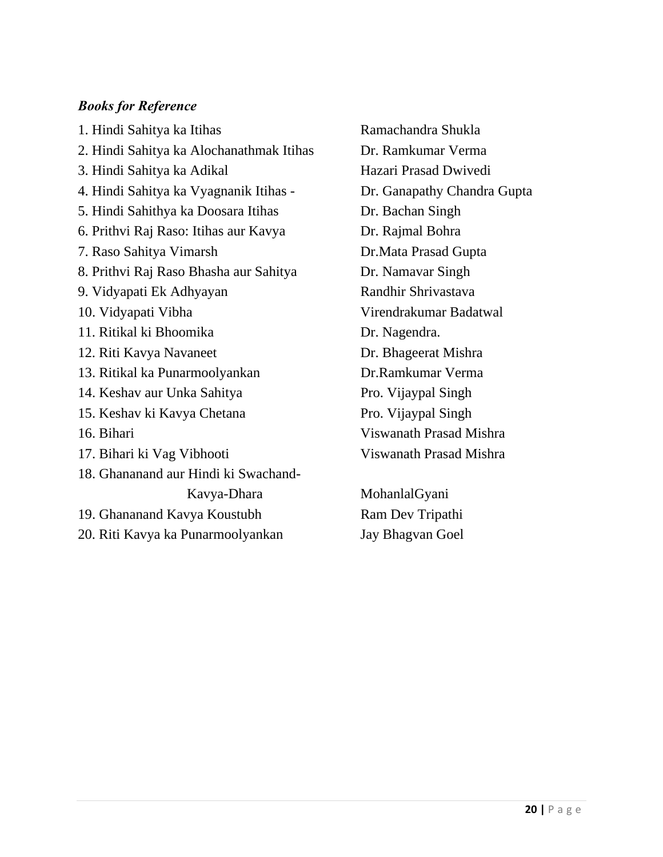### *Books for Reference*

1. Hindi Sahitya ka Itihas Ramachandra Shukla 2. Hindi Sahitya ka Alochanathmak Itihas Dr. Ramkumar Verma 3. Hindi Sahitya ka Adikal Hazari Prasad Dwivedi 4. Hindi Sahitya ka Vyagnanik Itihas - Dr. Ganapathy Chandra Gupta 5. Hindi Sahithya ka Doosara Itihas Dr. Bachan Singh 6. Prithvi Raj Raso: Itihas aur Kavya Dr. Rajmal Bohra 7. Raso Sahitya Vimarsh Dr.Mata Prasad Gupta 8. Prithvi Raj Raso Bhasha aur Sahitya Dr. Namavar Singh 9. Vidyapati Ek Adhyayan Randhir Shrivastava 10. Vidyapati Vibha Virendrakumar Badatwal 11. Ritikal ki Bhoomika Dr. Nagendra. 12. Riti Kavya Navaneet Dr. Bhageerat Mishra 13. Ritikal ka Punarmoolyankan Dr.Ramkumar Verma 14. Keshav aur Unka Sahitya Pro. Vijaypal Singh 15. Keshav ki Kavya Chetana Pro. Vijaypal Singh 16. Bihari Viswanath Prasad Mishra 17. Bihari ki Vag Vibhooti Viswanath Prasad Mishra 18. Ghananand aur Hindi ki Swachand- Kavya-Dhara MohanlalGyani 19. Ghananand Kavya Koustubh Ram Dev Tripathi 20. Riti Kavya ka Punarmoolyankan Jay Bhagvan Goel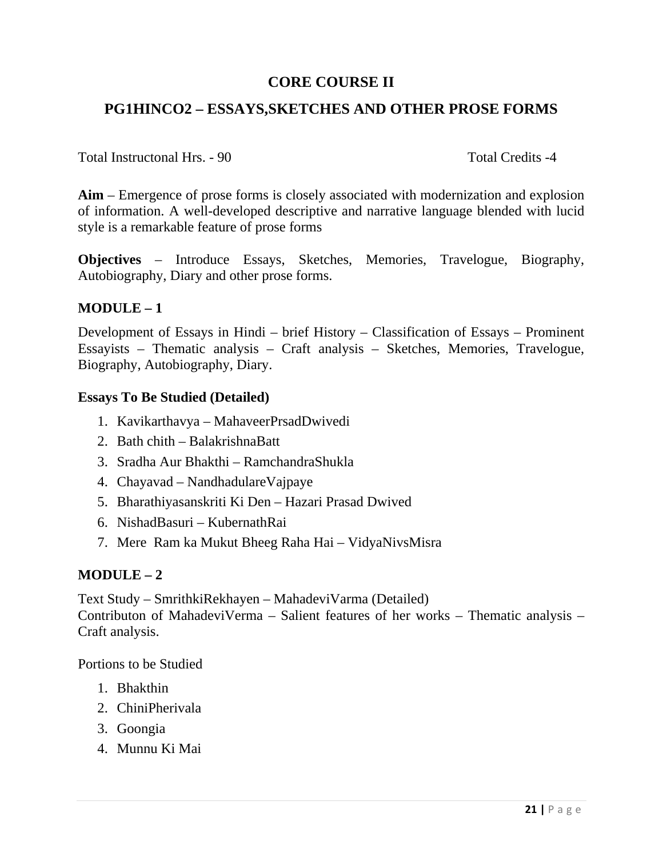## **CORE COURSE II**

## **PG1HINCO2 – ESSAYS,SKETCHES AND OTHER PROSE FORMS**

Total Instructonal Hrs. - 90 Total Credits -4

**Aim** – Emergence of prose forms is closely associated with modernization and explosion of information. A well-developed descriptive and narrative language blended with lucid style is a remarkable feature of prose forms

**Objectives** – Introduce Essays, Sketches, Memories, Travelogue, Biography, Autobiography, Diary and other prose forms.

### **MODULE – 1**

Development of Essays in Hindi – brief History – Classification of Essays – Prominent Essayists – Thematic analysis – Craft analysis – Sketches, Memories, Travelogue, Biography, Autobiography, Diary.

#### **Essays To Be Studied (Detailed)**

- 1. Kavikarthavya MahaveerPrsadDwivedi
- 2. Bath chith BalakrishnaBatt
- 3. Sradha Aur Bhakthi RamchandraShukla
- 4. Chayavad NandhadulareVajpaye
- 5. Bharathiyasanskriti Ki Den Hazari Prasad Dwived
- 6. NishadBasuri KubernathRai
- 7. Mere Ram ka Mukut Bheeg Raha Hai VidyaNivsMisra

#### **MODULE – 2**

Text Study – SmrithkiRekhayen – MahadeviVarma (Detailed) Contributon of MahadeviVerma – Salient features of her works – Thematic analysis – Craft analysis.

Portions to be Studied

- 1. Bhakthin
- 2. ChiniPherivala
- 3. Goongia
- 4. Munnu Ki Mai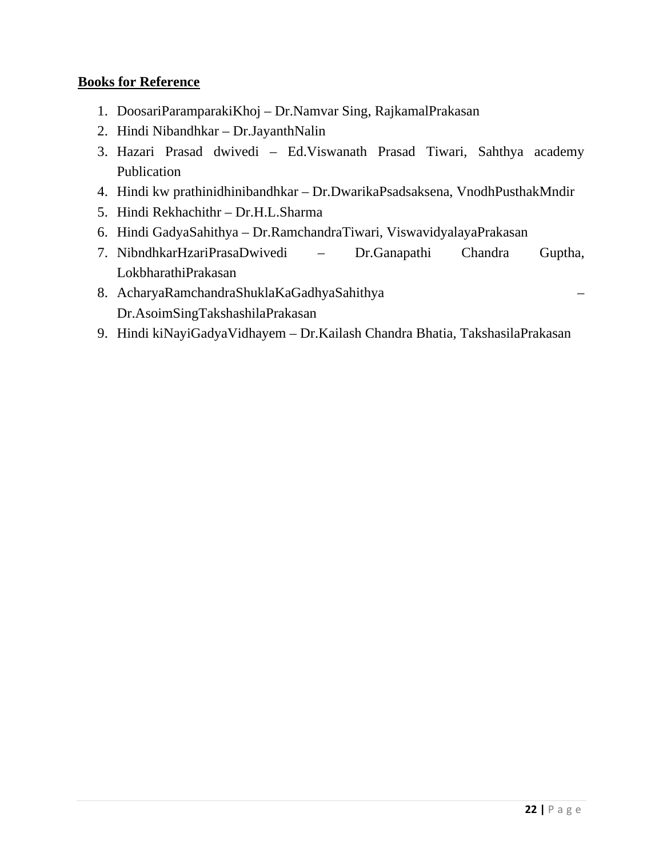- 1. DoosariParamparakiKhoj Dr.Namvar Sing, RajkamalPrakasan
- 2. Hindi Nibandhkar Dr.JayanthNalin
- 3. Hazari Prasad dwivedi Ed.Viswanath Prasad Tiwari, Sahthya academy Publication
- 4. Hindi kw prathinidhinibandhkar Dr.DwarikaPsadsaksena, VnodhPusthakMndir
- 5. Hindi Rekhachithr Dr.H.L.Sharma
- 6. Hindi GadyaSahithya Dr.RamchandraTiwari, ViswavidyalayaPrakasan
- 7. NibndhkarHzariPrasaDwivedi Dr.Ganapathi Chandra Guptha, LokbharathiPrakasan
- 8. AcharyaRamchandraShuklaKaGadhyaSahithya Dr.AsoimSingTakshashilaPrakasan
- 9. Hindi kiNayiGadyaVidhayem Dr.Kailash Chandra Bhatia, TakshasilaPrakasan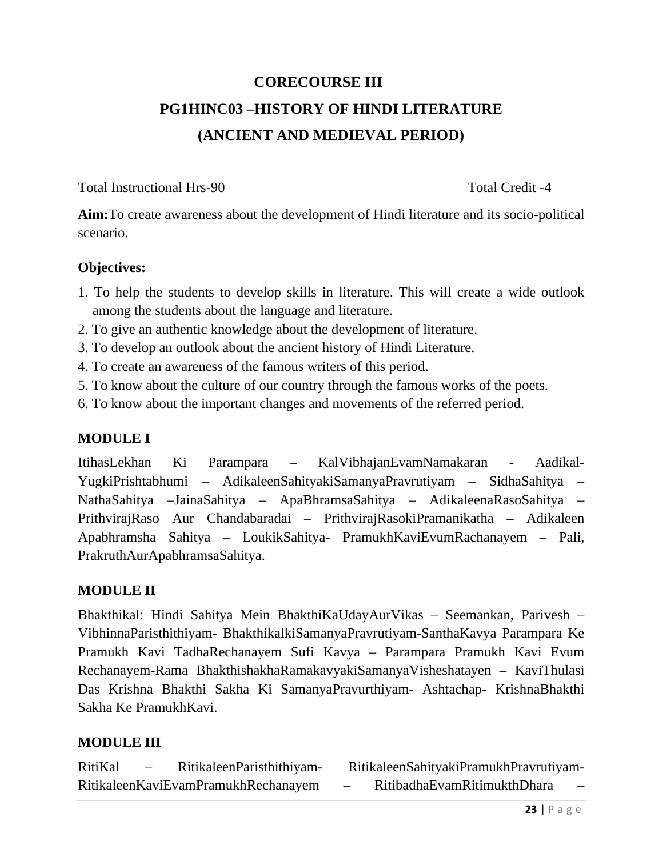# **CORECOURSE III PG1HINC03 –HISTORY OF HINDI LITERATURE (ANCIENT AND MEDIEVAL PERIOD)**

Total Instructional Hrs-90 Total Credit -4

**Aim:**To create awareness about the development of Hindi literature and its socio-political scenario.

## **Objectives:**

- 1. To help the students to develop skills in literature. This will create a wide outlook among the students about the language and literature.
- 2. To give an authentic knowledge about the development of literature.
- 3. To develop an outlook about the ancient history of Hindi Literature.
- 4. To create an awareness of the famous writers of this period.
- 5. To know about the culture of our country through the famous works of the poets.
- 6. To know about the important changes and movements of the referred period.

# **MODULE I**

ItihasLekhan Ki Parampara – KalVibhajanEvamNamakaran - Aadikal-YugkiPrishtabhumi – AdikaleenSahityakiSamanyaPravrutiyam – SidhaSahitya – NathaSahitya –JainaSahitya – ApaBhramsaSahitya – AdikaleenaRasoSahitya – PrithvirajRaso Aur Chandabaradai – PrithvirajRasokiPramanikatha – Adikaleen Apabhramsha Sahitya – LoukikSahitya- PramukhKaviEvumRachanayem – Pali, PrakruthAurApabhramsaSahitya.

### **MODULE II**

Bhakthikal: Hindi Sahitya Mein BhakthiKaUdayAurVikas – Seemankan, Parivesh – VibhinnaParisthithiyam- BhakthikalkiSamanyaPravrutiyam-SanthaKavya Parampara Ke Pramukh Kavi TadhaRechanayem Sufi Kavya – Parampara Pramukh Kavi Evum Rechanayem-Rama BhakthishakhaRamakavyakiSamanyaVisheshatayen – KaviThulasi Das Krishna Bhakthi Sakha Ki SamanyaPravurthiyam- Ashtachap- KrishnaBhakthi Sakha Ke PramukhKavi.

# **MODULE III**

RitiKal – RitikaleenParisthithiyam- RitikaleenSahityakiPramukhPravrutiyam-RitikaleenKaviEvamPramukhRechanayem – RitibadhaEvamRitimukthDhara –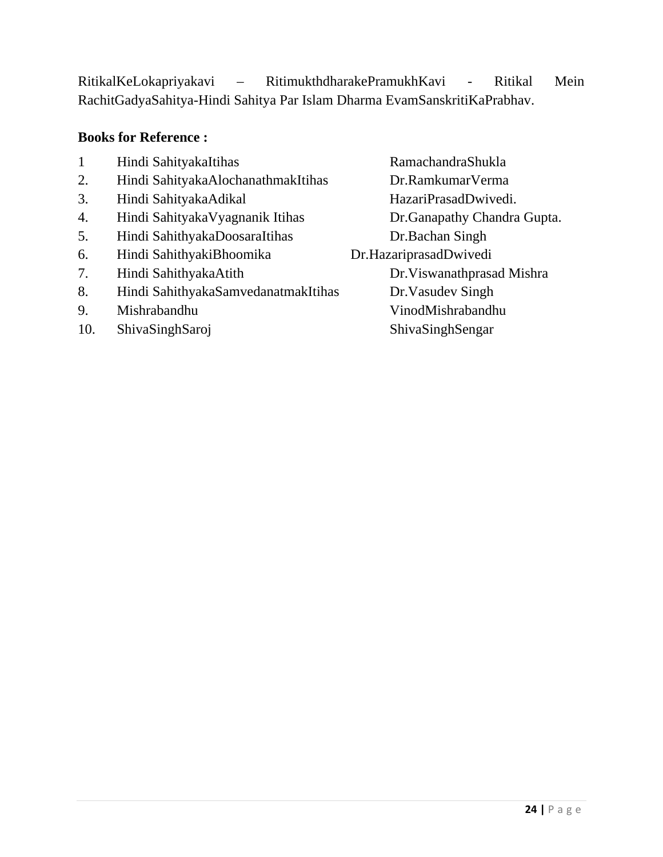# RitikalKeLokapriyakavi – RitimukthdharakePramukhKavi - Ritikal Mein RachitGadyaSahitya-Hindi Sahitya Par Islam Dharma EvamSanskritiKaPrabhav.

- 1 Hindi SahityakaItihas RamachandraShukla
- 2. Hindi SahityakaAlochanathmakItihas Dr.RamkumarVerma
- 3. Hindi SahityakaAdikal HazariPrasadDwivedi.
- 4. Hindi SahityakaVyagnanik Itihas Dr.Ganapathy Chandra Gupta.
- 5. Hindi SahithyakaDoosaraItihas Dr.Bachan Singh
- 6. Hindi SahithyakiBhoomika Dr.HazariprasadDwivedi
- 
- 8. Hindi SahithyakaSamvedanatmakItihas Dr.Vasudev Singh
- 
- 
- 7. Hindi SahithyakaAtith Dr.Viswanathprasad Mishra 9. Mishrabandhu VinodMishrabandhu 10. ShivaSinghSaroj ShivaSinghSengar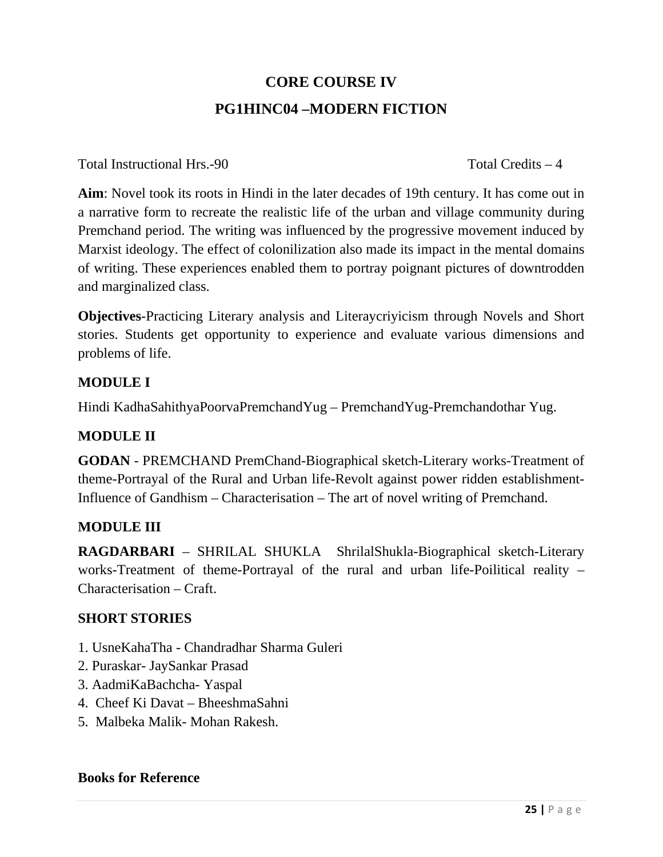# **CORE COURSE IV PG1HINC04 –MODERN FICTION**

Total Instructional Hrs. -90 Total Credits – 4

**Aim**: Novel took its roots in Hindi in the later decades of 19th century. It has come out in a narrative form to recreate the realistic life of the urban and village community during Premchand period. The writing was influenced by the progressive movement induced by Marxist ideology. The effect of colonilization also made its impact in the mental domains of writing. These experiences enabled them to portray poignant pictures of downtrodden and marginalized class.

**Objectives**-Practicing Literary analysis and Literaycriyicism through Novels and Short stories. Students get opportunity to experience and evaluate various dimensions and problems of life.

# **MODULE I**

Hindi KadhaSahithyaPoorvaPremchandYug – PremchandYug-Premchandothar Yug.

# **MODULE II**

**GODAN** - PREMCHAND PremChand-Biographical sketch-Literary works-Treatment of theme-Portrayal of the Rural and Urban life-Revolt against power ridden establishment-Influence of Gandhism – Characterisation – The art of novel writing of Premchand.

# **MODULE III**

**RAGDARBARI** – SHRILAL SHUKLA ShrilalShukla-Biographical sketch-Literary works-Treatment of theme-Portrayal of the rural and urban life-Poilitical reality – Characterisation – Craft.

# **SHORT STORIES**

- 1. UsneKahaTha Chandradhar Sharma Guleri
- 2. Puraskar- JaySankar Prasad
- 3. AadmiKaBachcha- Yaspal
- 4. Cheef Ki Davat BheeshmaSahni
- 5. Malbeka Malik- Mohan Rakesh.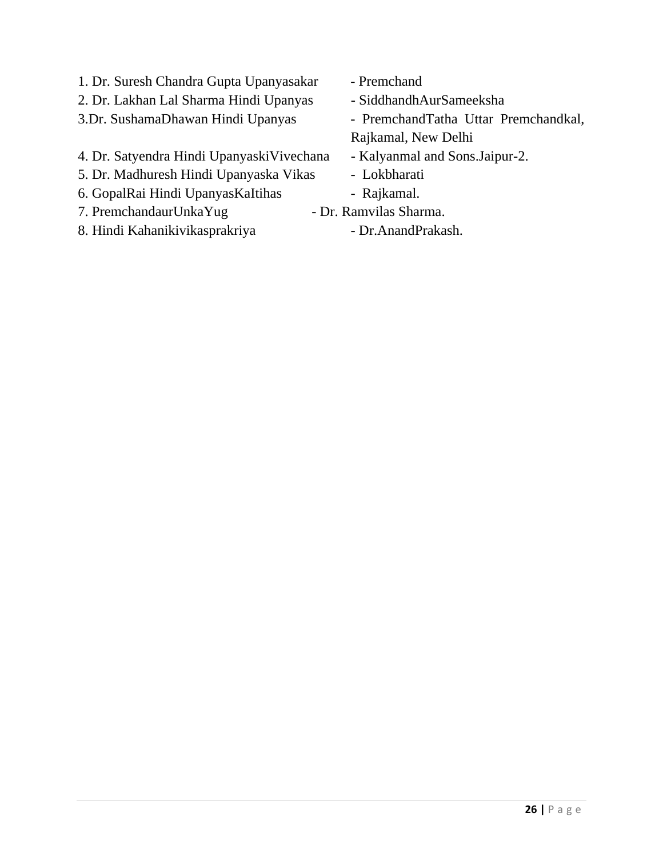- 1. Dr. Suresh Chandra Gupta Upanyasakar Premchand
- 2. Dr. Lakhan Lal Sharma Hindi Upanyas SiddhandhAurSameeksha
- 3.Dr. SushamaDhawan Hindi Upanyas PremchandTatha Uttar Premchandkal,
- 4. Dr. Satyendra Hindi UpanyaskiVivechana Kalyanmal and Sons.Jaipur-2.
- 5. Dr. Madhuresh Hindi Upanyaska Vikas Lokbharati
- 6. GopalRai Hindi UpanyasKaItihas Rajkamal.
- 7. PremchandaurUnkaYug Dr. Ramvilas Sharma.
- 8. Hindi Kahanikivikasprakriya Dr.AnandPrakash.
- 
- 
- 
- Rajkamal, New Delhi
- 
- 
- 
- -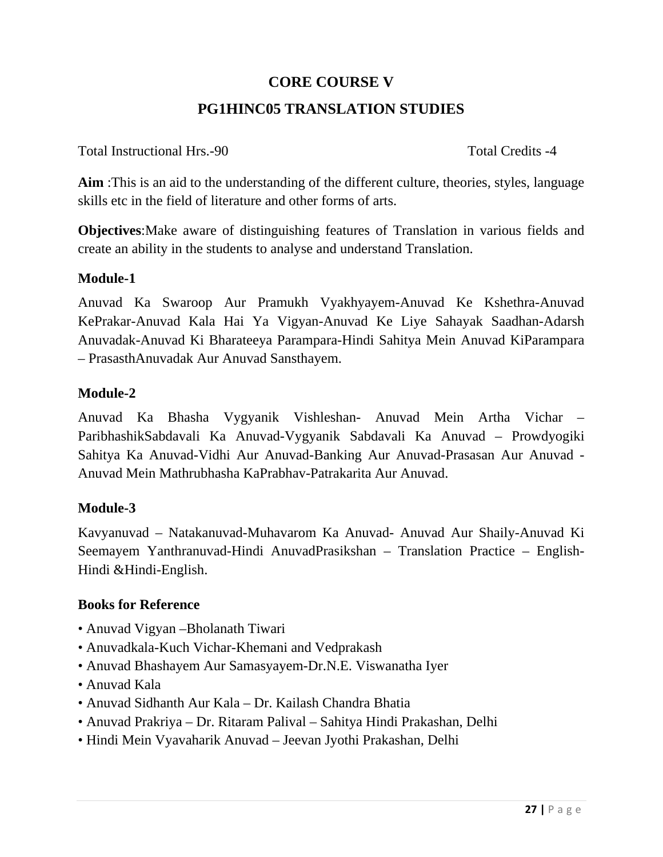# **CORE COURSE V PG1HINC05 TRANSLATION STUDIES**

Total Instructional Hrs.-90 Total Credits -4

**Aim** :This is an aid to the understanding of the different culture, theories, styles, language skills etc in the field of literature and other forms of arts.

**Objectives**:Make aware of distinguishing features of Translation in various fields and create an ability in the students to analyse and understand Translation.

## **Module-1**

Anuvad Ka Swaroop Aur Pramukh Vyakhyayem-Anuvad Ke Kshethra-Anuvad KePrakar-Anuvad Kala Hai Ya Vigyan-Anuvad Ke Liye Sahayak Saadhan-Adarsh Anuvadak-Anuvad Ki Bharateeya Parampara-Hindi Sahitya Mein Anuvad KiParampara – PrasasthAnuvadak Aur Anuvad Sansthayem.

### **Module-2**

Anuvad Ka Bhasha Vygyanik Vishleshan- Anuvad Mein Artha Vichar – ParibhashikSabdavali Ka Anuvad-Vygyanik Sabdavali Ka Anuvad – Prowdyogiki Sahitya Ka Anuvad-Vidhi Aur Anuvad-Banking Aur Anuvad-Prasasan Aur Anuvad - Anuvad Mein Mathrubhasha KaPrabhav-Patrakarita Aur Anuvad.

# **Module-3**

Kavyanuvad – Natakanuvad-Muhavarom Ka Anuvad- Anuvad Aur Shaily-Anuvad Ki Seemayem Yanthranuvad-Hindi AnuvadPrasikshan – Translation Practice – English-Hindi &Hindi-English.

- Anuvad Vigyan –Bholanath Tiwari
- Anuvadkala-Kuch Vichar-Khemani and Vedprakash
- Anuvad Bhashayem Aur Samasyayem-Dr.N.E. Viswanatha Iyer
- Anuvad Kala
- Anuvad Sidhanth Aur Kala Dr. Kailash Chandra Bhatia
- Anuvad Prakriya Dr. Ritaram Palival Sahitya Hindi Prakashan, Delhi
- Hindi Mein Vyavaharik Anuvad Jeevan Jyothi Prakashan, Delhi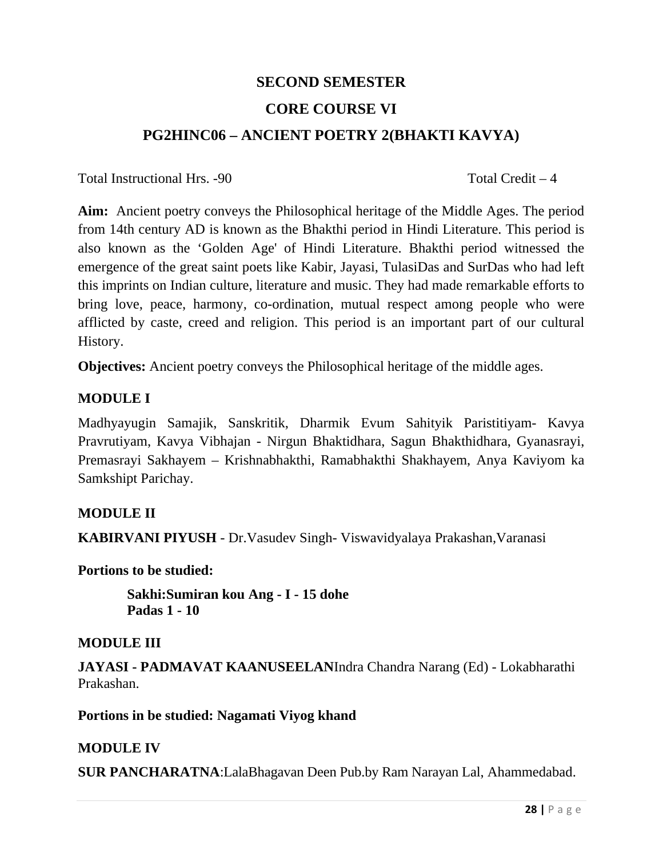# **SECOND SEMESTER CORE COURSE VI PG2HINC06 – ANCIENT POETRY 2(BHAKTI KAVYA)**

Total Instructional Hrs. -90 Total Credit – 4

**Aim:** Ancient poetry conveys the Philosophical heritage of the Middle Ages. The period from 14th century AD is known as the Bhakthi period in Hindi Literature. This period is also known as the 'Golden Age' of Hindi Literature. Bhakthi period witnessed the emergence of the great saint poets like Kabir, Jayasi, TulasiDas and SurDas who had left this imprints on Indian culture, literature and music. They had made remarkable efforts to bring love, peace, harmony, co-ordination, mutual respect among people who were afflicted by caste, creed and religion. This period is an important part of our cultural History.

**Objectives:** Ancient poetry conveys the Philosophical heritage of the middle ages.

## **MODULE I**

Madhyayugin Samajik, Sanskritik, Dharmik Evum Sahityik Paristitiyam- Kavya Pravrutiyam, Kavya Vibhajan - Nirgun Bhaktidhara, Sagun Bhakthidhara, Gyanasrayi, Premasrayi Sakhayem – Krishnabhakthi, Ramabhakthi Shakhayem, Anya Kaviyom ka Samkshipt Parichay.

# **MODULE II**

**KABIRVANI PIYUSH** - Dr.Vasudev Singh- Viswavidyalaya Prakashan,Varanasi

**Portions to be studied:** 

 **Sakhi:Sumiran kou Ang - I - 15 dohe Padas 1 - 10**

### **MODULE III**

**JAYASI - PADMAVAT KAANUSEELAN**Indra Chandra Narang (Ed) - Lokabharathi Prakashan.

**Portions in be studied: Nagamati Viyog khand** 

### **MODULE IV**

**SUR PANCHARATNA**:LalaBhagavan Deen Pub.by Ram Narayan Lal, Ahammedabad.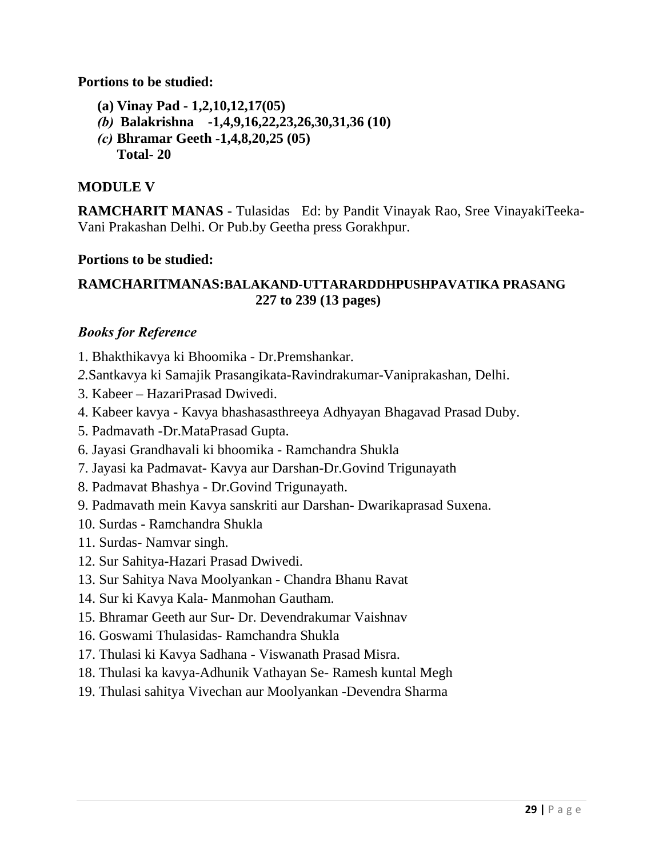**Portions to be studied:** 

- **(a) Vinay Pad 1,2,10,12,17(05)**
- *(b)* **Balakrishna -1,4,9,16,22,23,26,30,31,36 (10)**
- *(c)* **Bhramar Geeth -1,4,8,20,25 (05)**
	- **Total- 20**

## **MODULE V**

**RAMCHARIT MANAS** - Tulasidas Ed: by Pandit Vinayak Rao, Sree VinayakiTeeka-Vani Prakashan Delhi. Or Pub.by Geetha press Gorakhpur.

### **Portions to be studied:**

## **RAMCHARITMANAS:BALAKAND-UTTARARDDHPUSHPAVATIKA PRASANG 227 to 239 (13 pages)**

- 1. Bhakthikavya ki Bhoomika Dr.Premshankar.
- *2.*Santkavya ki Samajik Prasangikata-Ravindrakumar-Vaniprakashan, Delhi.
- 3. Kabeer HazariPrasad Dwivedi.
- 4. Kabeer kavya Kavya bhashasasthreeya Adhyayan Bhagavad Prasad Duby.
- 5. Padmavath -Dr.MataPrasad Gupta.
- 6. Jayasi Grandhavali ki bhoomika Ramchandra Shukla
- 7. Jayasi ka Padmavat- Kavya aur Darshan-Dr.Govind Trigunayath
- 8. Padmavat Bhashya Dr.Govind Trigunayath.
- 9. Padmavath mein Kavya sanskriti aur Darshan- Dwarikaprasad Suxena.
- 10. Surdas Ramchandra Shukla
- 11. Surdas- Namvar singh.
- 12. Sur Sahitya-Hazari Prasad Dwivedi.
- 13. Sur Sahitya Nava Moolyankan Chandra Bhanu Ravat
- 14. Sur ki Kavya Kala- Manmohan Gautham.
- 15. Bhramar Geeth aur Sur- Dr. Devendrakumar Vaishnav
- 16. Goswami Thulasidas- Ramchandra Shukla
- 17. Thulasi ki Kavya Sadhana Viswanath Prasad Misra.
- 18. Thulasi ka kavya-Adhunik Vathayan Se- Ramesh kuntal Megh
- 19. Thulasi sahitya Vivechan aur Moolyankan -Devendra Sharma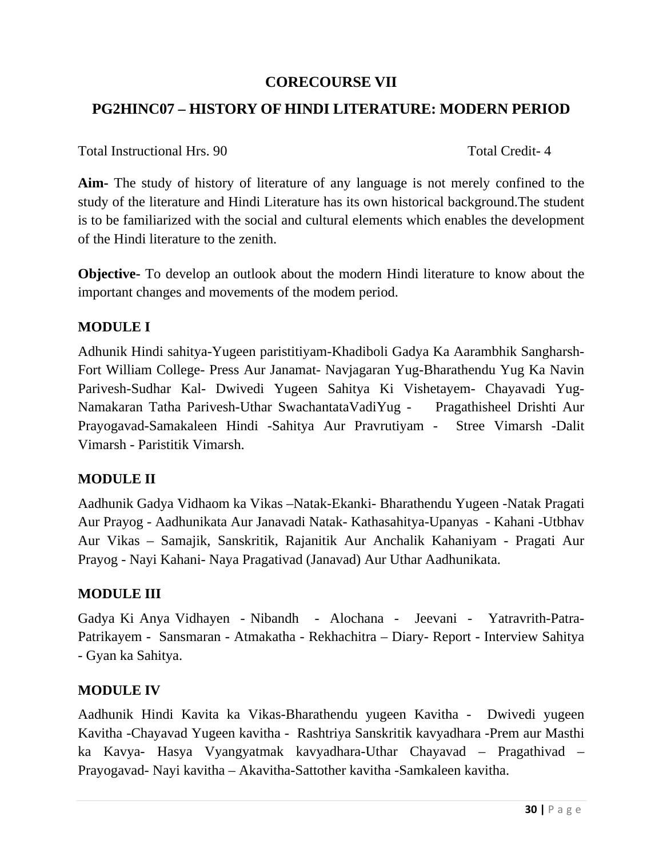### **CORECOURSE VII**

# **PG2HINC07 – HISTORY OF HINDI LITERATURE: MODERN PERIOD**

Total Instructional Hrs. 90 Total Credit- 4

**Aim-** The study of history of literature of any language is not merely confined to the study of the literature and Hindi Literature has its own historical background.The student is to be familiarized with the social and cultural elements which enables the development of the Hindi literature to the zenith.

**Objective-** To develop an outlook about the modern Hindi literature to know about the important changes and movements of the modem period.

### **MODULE I**

Adhunik Hindi sahitya-Yugeen paristitiyam-Khadiboli Gadya Ka Aarambhik Sangharsh-Fort William College- Press Aur Janamat- Navjagaran Yug-Bharathendu Yug Ka Navin Parivesh-Sudhar Kal- Dwivedi Yugeen Sahitya Ki Vishetayem- Chayavadi Yug-Namakaran Tatha Parivesh-Uthar SwachantataVadiYug - Pragathisheel Drishti Aur Prayogavad-Samakaleen Hindi -Sahitya Aur Pravrutiyam - Stree Vimarsh -Dalit Vimarsh - Paristitik Vimarsh.

### **MODULE II**

Aadhunik Gadya Vidhaom ka Vikas –Natak-Ekanki- Bharathendu Yugeen -Natak Pragati Aur Prayog - Aadhunikata Aur Janavadi Natak- Kathasahitya-Upanyas - Kahani -Utbhav Aur Vikas – Samajik, Sanskritik, Rajanitik Aur Anchalik Kahaniyam - Pragati Aur Prayog - Nayi Kahani- Naya Pragativad (Janavad) Aur Uthar Aadhunikata.

### **MODULE III**

Gadya Ki Anya Vidhayen - Nibandh - Alochana - Jeevani - Yatravrith-Patra-Patrikayem - Sansmaran - Atmakatha - Rekhachitra – Diary- Report - Interview Sahitya - Gyan ka Sahitya.

### **MODULE IV**

Aadhunik Hindi Kavita ka Vikas-Bharathendu yugeen Kavitha - Dwivedi yugeen Kavitha -Chayavad Yugeen kavitha - Rashtriya Sanskritik kavyadhara -Prem aur Masthi ka Kavya- Hasya Vyangyatmak kavyadhara-Uthar Chayavad – Pragathivad – Prayogavad- Nayi kavitha – Akavitha-Sattother kavitha -Samkaleen kavitha.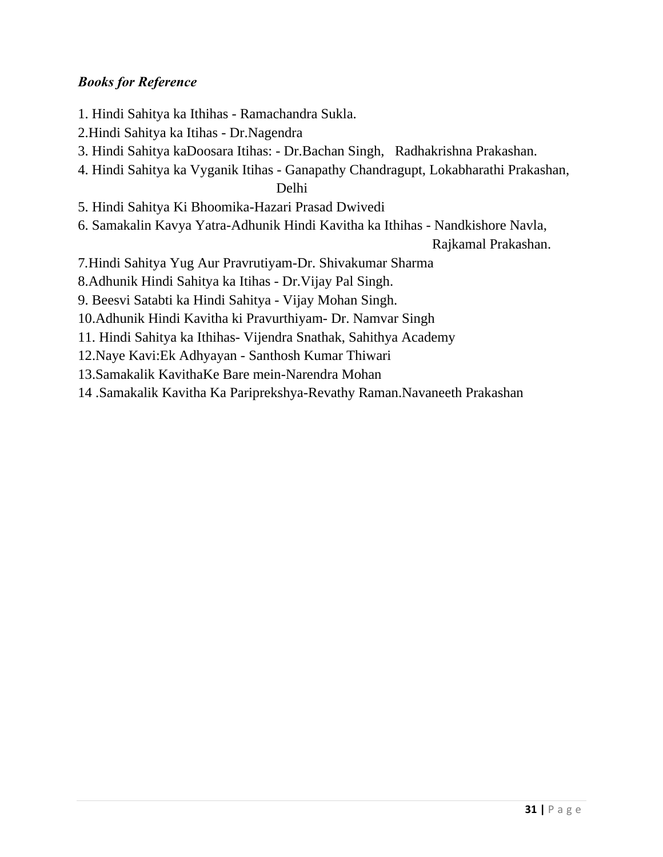### *Books for Reference*

- 1. Hindi Sahitya ka Ithihas Ramachandra Sukla.
- 2.Hindi Sahitya ka Itihas Dr.Nagendra
- 3. Hindi Sahitya kaDoosara Itihas: Dr.Bachan Singh, Radhakrishna Prakashan.
- 4. Hindi Sahitya ka Vyganik Itihas Ganapathy Chandragupt, Lokabharathi Prakashan, Delhi
- 5. Hindi Sahitya Ki Bhoomika-Hazari Prasad Dwivedi
- 6. Samakalin Kavya Yatra-Adhunik Hindi Kavitha ka Ithihas Nandkishore Navla,

Rajkamal Prakashan.

- 7*.*Hindi Sahitya Yug Aur Pravrutiyam-Dr. Shivakumar Sharma
- 8.Adhunik Hindi Sahitya ka Itihas Dr.Vijay Pal Singh.
- 9. Beesvi Satabti ka Hindi Sahitya Vijay Mohan Singh.
- 10.Adhunik Hindi Kavitha ki Pravurthiyam- Dr. Namvar Singh
- 11. Hindi Sahitya ka Ithihas- Vijendra Snathak, Sahithya Academy
- 12.Naye Kavi:Ek Adhyayan Santhosh Kumar Thiwari
- 13.Samakalik KavithaKe Bare mein-Narendra Mohan
- 14 .Samakalik Kavitha Ka Pariprekshya-Revathy Raman.Navaneeth Prakashan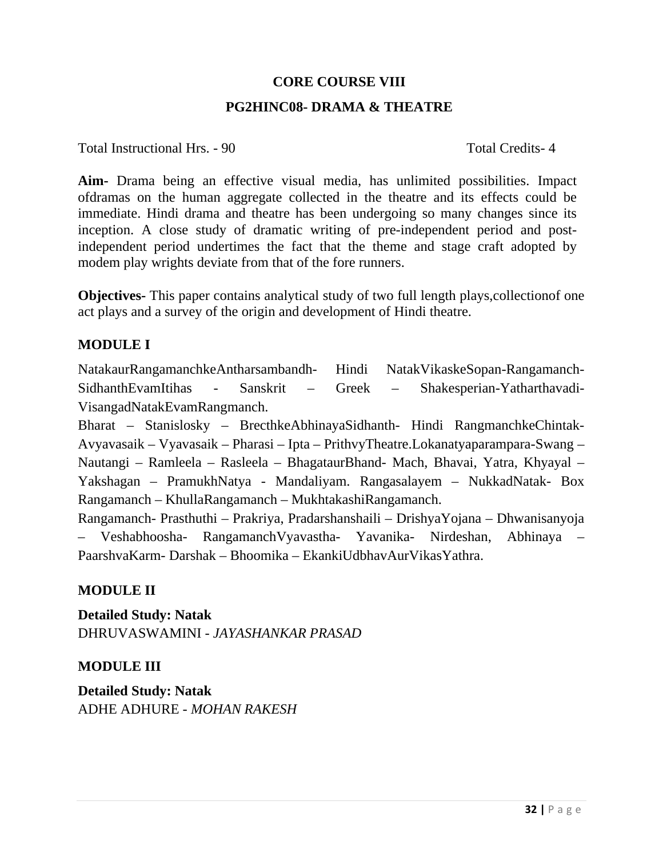#### **CORE COURSE VIII**

#### **PG2HINC08- DRAMA & THEATRE**

Total Instructional Hrs. - 90 Total Credits- 4

**Aim-** Drama being an effective visual media, has unlimited possibilities. Impact ofdramas on the human aggregate collected in the theatre and its effects could be immediate. Hindi drama and theatre has been undergoing so many changes since its inception. A close study of dramatic writing of pre-independent period and postindependent period undertimes the fact that the theme and stage craft adopted by modem play wrights deviate from that of the fore runners.

**Objectives-** This paper contains analytical study of two full length plays, collection of one act plays and a survey of the origin and development of Hindi theatre.

#### **MODULE I**

NatakaurRangamanchkeAntharsambandh- Hindi NatakVikaskeSopan-Rangamanch-SidhanthEvamItihas - Sanskrit – Greek – Shakesperian-Yatharthavadi-VisangadNatakEvamRangmanch.

Bharat – Stanislosky – BrecthkeAbhinayaSidhanth- Hindi RangmanchkeChintak-Avyavasaik – Vyavasaik – Pharasi – Ipta – PrithvyTheatre.Lokanatyaparampara-Swang – Nautangi – Ramleela – Rasleela – BhagataurBhand- Mach, Bhavai, Yatra, Khyayal – Yakshagan – PramukhNatya - Mandaliyam. Rangasalayem – NukkadNatak- Box Rangamanch – KhullaRangamanch – MukhtakashiRangamanch.

Rangamanch- Prasthuthi – Prakriya, Pradarshanshaili – DrishyaYojana – Dhwanisanyoja – Veshabhoosha- RangamanchVyavastha- Yavanika- Nirdeshan, Abhinaya – PaarshvaKarm- Darshak – Bhoomika – EkankiUdbhavAurVikasYathra.

### **MODULE II**

**Detailed Study: Natak**  DHRUVASWAMINI - *JAYASHANKAR PRASAD* 

### **MODULE III**

**Detailed Study: Natak**  ADHE ADHURE - *MOHAN RAKESH*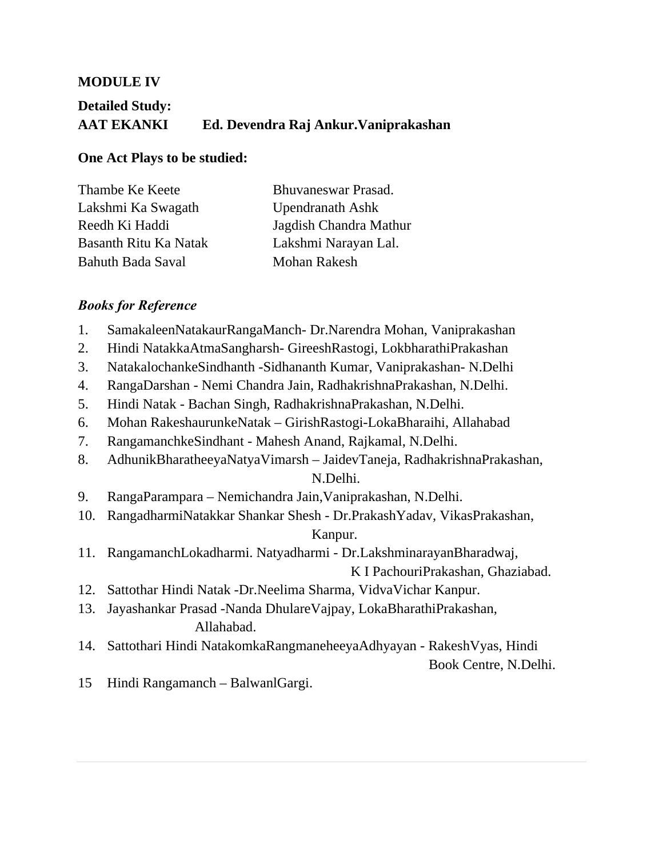#### **MODULE IV**

# **Detailed Study: AAT EKANKI Ed. Devendra Raj Ankur.Vaniprakashan**

#### **One Act Plays to be studied:**

| Thambe Ke Keete       | Bhuvaneswar Prasad.     |
|-----------------------|-------------------------|
| Lakshmi Ka Swagath    | <b>Upendranath Ashk</b> |
| Reedh Ki Haddi        | Jagdish Chandra Mathur  |
| Basanth Ritu Ka Natak | Lakshmi Narayan Lal.    |
| Bahuth Bada Saval     | <b>Mohan Rakesh</b>     |

#### *Books for Reference*

- 1. SamakaleenNatakaurRangaManch- Dr.Narendra Mohan, Vaniprakashan
- 2. Hindi NatakkaAtmaSangharsh- GireeshRastogi, LokbharathiPrakashan
- 3. NatakalochankeSindhanth -Sidhananth Kumar, Vaniprakashan- N.Delhi
- 4. RangaDarshan Nemi Chandra Jain, RadhakrishnaPrakashan, N.Delhi.
- 5. Hindi Natak Bachan Singh, RadhakrishnaPrakashan, N.Delhi.
- 6. Mohan RakeshaurunkeNatak GirishRastogi-LokaBharaihi, Allahabad
- 7. RangamanchkeSindhant Mahesh Anand, Rajkamal, N.Delhi.
- 8. AdhunikBharatheeyaNatyaVimarsh JaidevTaneja, RadhakrishnaPrakashan,

#### N.Delhi.

- 9. RangaParampara Nemichandra Jain,Vaniprakashan, N.Delhi.
- 10. RangadharmiNatakkar Shankar Shesh Dr.PrakashYadav, VikasPrakashan,

#### Kanpur.

11. RangamanchLokadharmi. Natyadharmi - Dr.LakshminarayanBharadwaj,

K I PachouriPrakashan, Ghaziabad.

- 12. Sattothar Hindi Natak -Dr.Neelima Sharma, VidvaVichar Kanpur.
- 13. Jayashankar Prasad -Nanda DhulareVajpay, LokaBharathiPrakashan, Allahabad.
- 14. Sattothari Hindi NatakomkaRangmaneheeyaAdhyayan RakeshVyas, Hindi Book Centre, N.Delhi.
- 15 Hindi Rangamanch BalwanlGargi.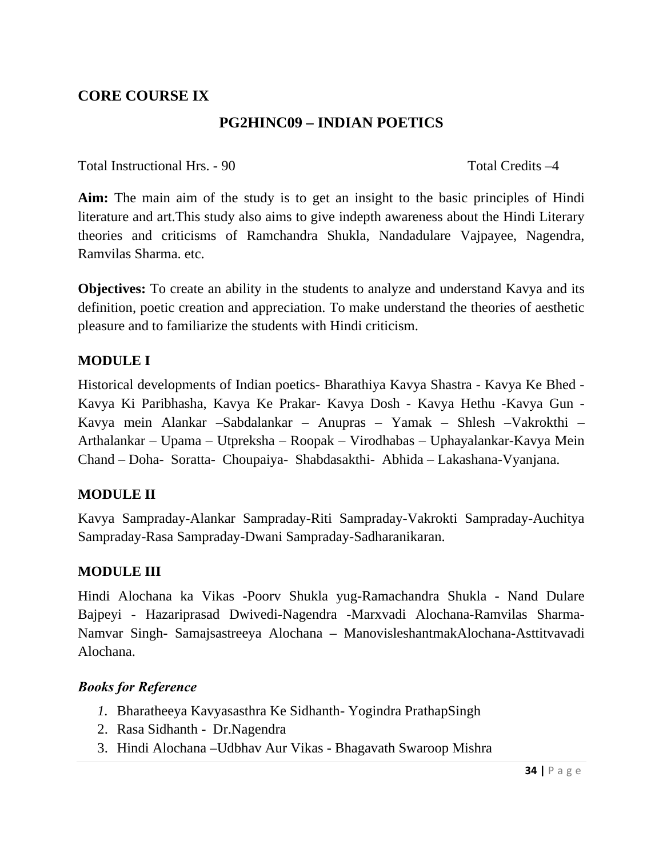# **CORE COURSE IX**

## **PG2HINC09 – INDIAN POETICS**

Total Instructional Hrs. - 90 Total Credits –4

**Aim:** The main aim of the study is to get an insight to the basic principles of Hindi literature and art.This study also aims to give indepth awareness about the Hindi Literary theories and criticisms of Ramchandra Shukla, Nandadulare Vajpayee, Nagendra, Ramvilas Sharma. etc.

**Objectives:** To create an ability in the students to analyze and understand Kavya and its definition, poetic creation and appreciation. To make understand the theories of aesthetic pleasure and to familiarize the students with Hindi criticism.

### **MODULE I**

Historical developments of Indian poetics- Bharathiya Kavya Shastra - Kavya Ke Bhed - Kavya Ki Paribhasha, Kavya Ke Prakar- Kavya Dosh - Kavya Hethu -Kavya Gun - Kavya mein Alankar –Sabdalankar – Anupras – Yamak – Shlesh –Vakrokthi – Arthalankar – Upama – Utpreksha – Roopak – Virodhabas – Uphayalankar-Kavya Mein Chand – Doha- Soratta- Choupaiya- Shabdasakthi- Abhida – Lakashana-Vyanjana.

### **MODULE II**

Kavya Sampraday-Alankar Sampraday-Riti Sampraday-Vakrokti Sampraday-Auchitya Sampraday-Rasa Sampraday-Dwani Sampraday-Sadharanikaran.

### **MODULE III**

Hindi Alochana ka Vikas -Poorv Shukla yug-Ramachandra Shukla - Nand Dulare Bajpeyi - Hazariprasad Dwivedi-Nagendra -Marxvadi Alochana-Ramvilas Sharma-Namvar Singh- Samajsastreeya Alochana – ManovisleshantmakAlochana-Asttitvavadi Alochana.

- *1.* Bharatheeya Kavyasasthra Ke SidhanthYogindra PrathapSingh
- 2. Rasa Sidhanth Dr.Nagendra
- 3. Hindi Alochana –Udbhav Aur Vikas Bhagavath Swaroop Mishra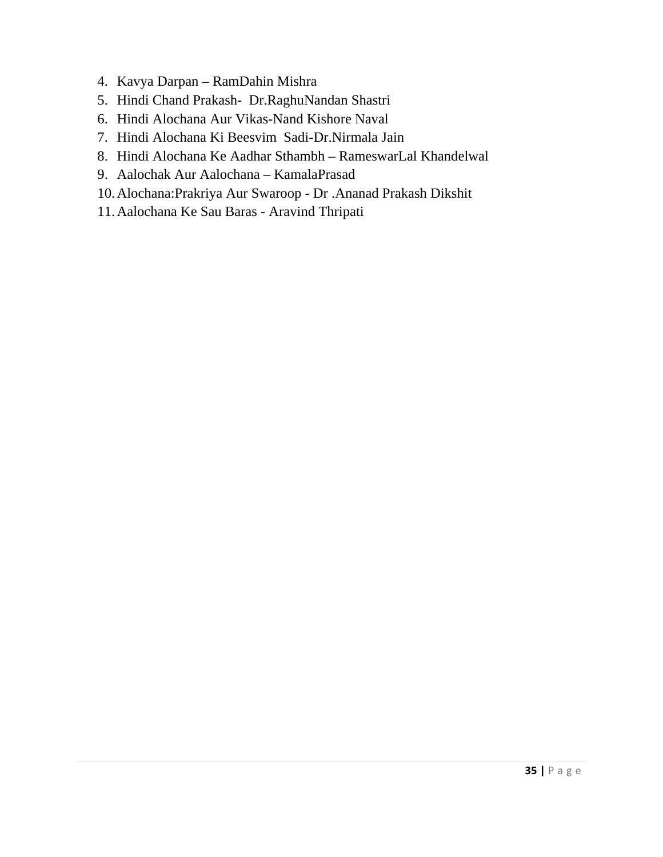- 4. Kavya Darpan RamDahin Mishra
- 5. Hindi Chand Prakash- Dr.RaghuNandan Shastri
- 6. Hindi Alochana Aur Vikas-Nand Kishore Naval
- 7. Hindi Alochana Ki Beesvim Sadi-Dr.Nirmala Jain
- 8. Hindi Alochana Ke Aadhar Sthambh RameswarLal Khandelwal
- 9. Aalochak Aur Aalochana KamalaPrasad
- 10.Alochana:Prakriya Aur Swaroop Dr .Ananad Prakash Dikshit
- 11.Aalochana Ke Sau Baras Aravind Thripati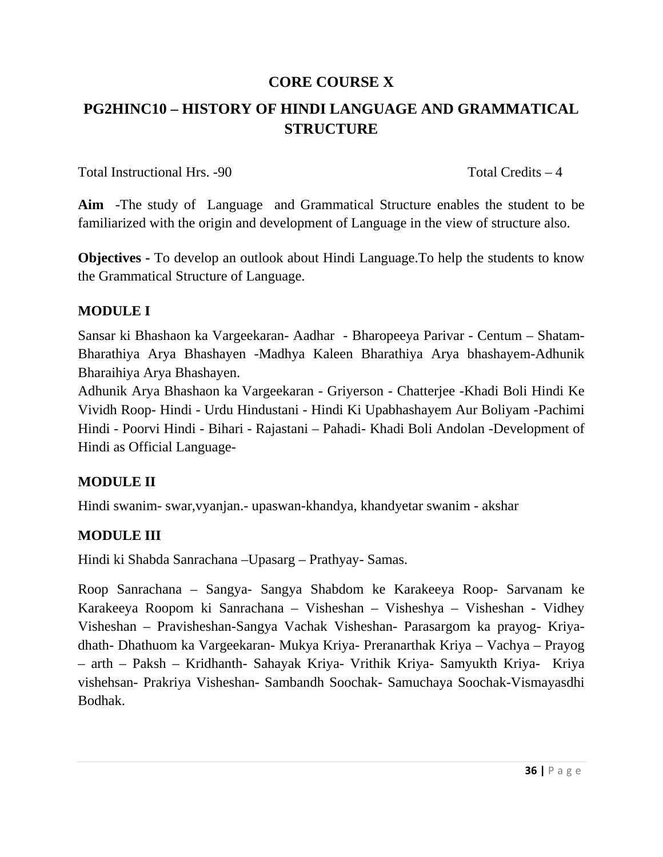# **CORE COURSE X**

# **PG2HINC10 – HISTORY OF HINDI LANGUAGE AND GRAMMATICAL STRUCTURE**

Total Instructional Hrs. -90 Total Credits – 4

**Aim** -The study of Language and Grammatical Structure enables the student to be familiarized with the origin and development of Language in the view of structure also.

**Objectives -** To develop an outlook about Hindi Language.To help the students to know the Grammatical Structure of Language.

### **MODULE I**

Sansar ki Bhashaon ka Vargeekaran- Aadhar - Bharopeeya Parivar - Centum – Shatam-Bharathiya Arya Bhashayen -Madhya Kaleen Bharathiya Arya bhashayem-Adhunik Bharaihiya Arya Bhashayen.

Adhunik Arya Bhashaon ka Vargeekaran - Griyerson - Chatterjee -Khadi Boli Hindi Ke Vividh Roop- Hindi - Urdu Hindustani - Hindi Ki Upabhashayem Aur Boliyam -Pachimi Hindi - Poorvi Hindi - Bihari - Rajastani – Pahadi- Khadi Boli Andolan -Development of Hindi as Official Language-

# **MODULE II**

Hindi swanim- swar,vyanjan.- upaswan-khandya, khandyetar swanim - akshar

# **MODULE III**

Hindi ki Shabda Sanrachana –Upasarg – Prathyay- Samas.

Roop Sanrachana – Sangya- Sangya Shabdom ke Karakeeya Roop- Sarvanam ke Karakeeya Roopom ki Sanrachana – Visheshan – Visheshya – Visheshan - Vidhey Visheshan – Pravisheshan-Sangya Vachak Visheshan- Parasargom ka prayog- Kriyadhath- Dhathuom ka Vargeekaran- Mukya Kriya- Preranarthak Kriya – Vachya – Prayog – arth – Paksh – Kridhanth- Sahayak Kriya- Vrithik Kriya- Samyukth Kriya- Kriya vishehsan- Prakriya Visheshan- Sambandh Soochak- Samuchaya Soochak-Vismayasdhi Bodhak.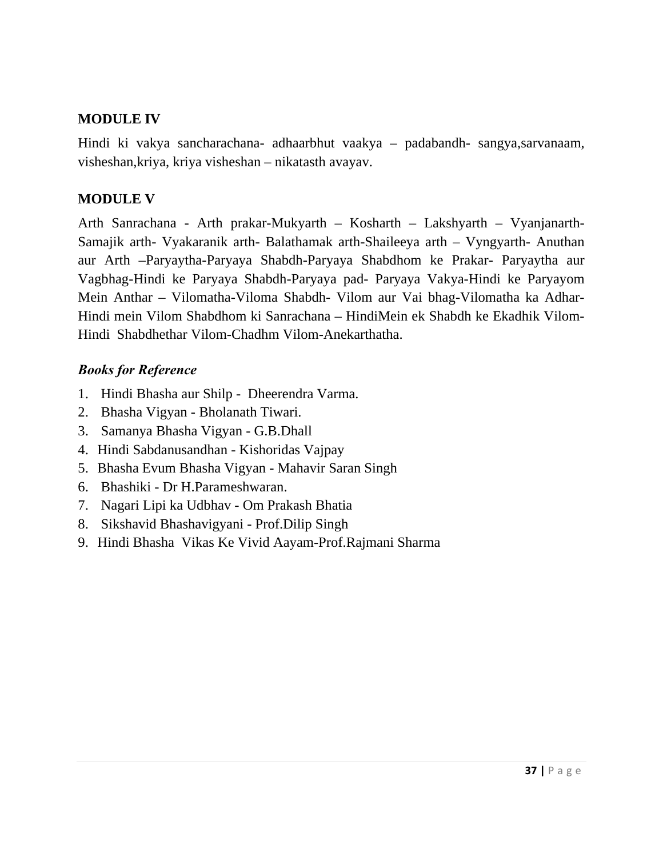### **MODULE IV**

Hindi ki vakya sancharachana- adhaarbhut vaakya – padabandh- sangya,sarvanaam, visheshan,kriya, kriya visheshan – nikatasth avayav.

## **MODULE V**

Arth Sanrachana - Arth prakar-Mukyarth – Kosharth – Lakshyarth – Vyanjanarth-Samajik arth- Vyakaranik arth- Balathamak arth-Shaileeya arth – Vyngyarth- Anuthan aur Arth –Paryaytha-Paryaya Shabdh-Paryaya Shabdhom ke Prakar- Paryaytha aur Vagbhag-Hindi ke Paryaya Shabdh-Paryaya pad- Paryaya Vakya-Hindi ke Paryayom Mein Anthar – Vilomatha-Viloma Shabdh- Vilom aur Vai bhag-Vilomatha ka Adhar-Hindi mein Vilom Shabdhom ki Sanrachana – HindiMein ek Shabdh ke Ekadhik Vilom-Hindi Shabdhethar Vilom-Chadhm Vilom-Anekarthatha.

- 1. Hindi Bhasha aur Shilp Dheerendra Varma.
- 2. Bhasha Vigyan Bholanath Tiwari.
- 3. Samanya Bhasha Vigyan G.B.Dhall
- 4. Hindi Sabdanusandhan Kishoridas Vajpay
- 5. Bhasha Evum Bhasha Vigyan Mahavir Saran Singh
- 6. Bhashiki Dr H.Parameshwaran.
- 7. Nagari Lipi ka Udbhav Om Prakash Bhatia
- 8. Sikshavid Bhashavigyani Prof.Dilip Singh
- 9. Hindi Bhasha Vikas Ke Vivid Aayam-Prof.Rajmani Sharma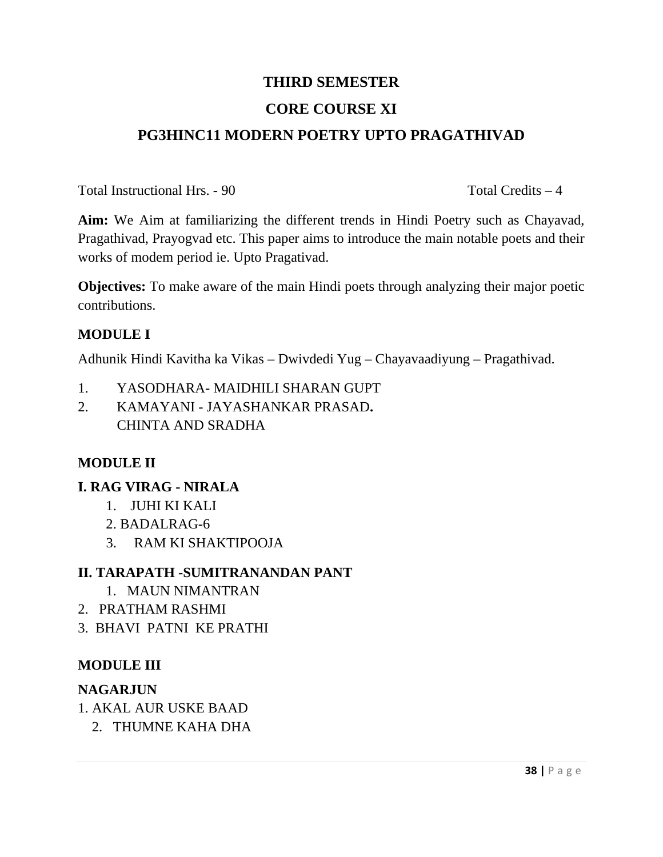# **THIRD SEMESTER CORE COURSE XI PG3HINC11 MODERN POETRY UPTO PRAGATHIVAD**

Total Instructional Hrs. - 90 Total Credits – 4

**Aim:** We Aim at familiarizing the different trends in Hindi Poetry such as Chayavad, Pragathivad, Prayogvad etc. This paper aims to introduce the main notable poets and their works of modem period ie. Upto Pragativad.

**Objectives:** To make aware of the main Hindi poets through analyzing their major poetic contributions.

## **MODULE I**

Adhunik Hindi Kavitha ka Vikas – Dwivdedi Yug – Chayavaadiyung – Pragathivad.

- 1. YASODHARA- MAIDHILI SHARAN GUPT
- 2. KAMAYANI JAYASHANKAR PRASAD**.** CHINTA AND SRADHA

# **MODULE II**

# **I. RAG VIRAG - NIRALA**

- 1. JUHI KI KALI
- 2. BADALRAG-6
- 3. RAM KI SHAKTIPOOJA

# **II. TARAPATH -SUMITRANANDAN PANT**

- 1. MAUN NIMANTRAN
- 2. PRATHAM RASHMI
- 3. BHAVI PATNI KE PRATHI

### **MODULE III**

### **NAGARJUN**

- 1. AKAL AUR USKE BAAD
	- 2. THUMNE KAHA DHA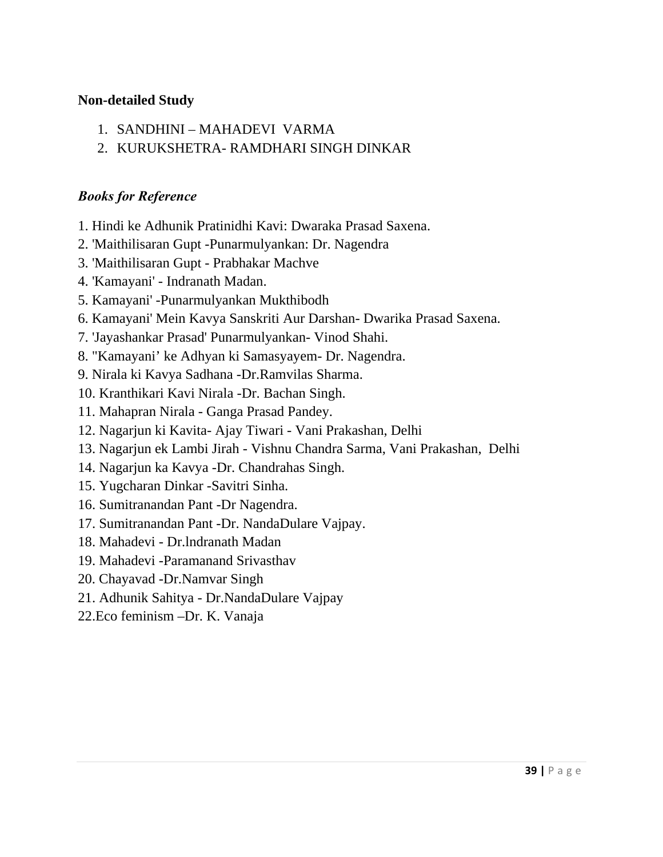### **Non-detailed Study**

- 1. SANDHINI MAHADEVI VARMA
- 2. KURUKSHETRA- RAMDHARI SINGH DINKAR

- 1. Hindi ke Adhunik Pratinidhi Kavi: Dwaraka Prasad Saxena.
- 2. 'Maithilisaran Gupt -Punarmulyankan: Dr. Nagendra
- 3. 'Maithilisaran Gupt Prabhakar Machve
- 4. 'Kamayani' Indranath Madan.
- 5. Kamayani' -Punarmulyankan Mukthibodh
- 6. Kamayani' Mein Kavya Sanskriti Aur Darshan- Dwarika Prasad Saxena.
- 7. 'Jayashankar Prasad' Punarmulyankan- Vinod Shahi.
- 8. "Kamayani' ke Adhyan ki Samasyayem- Dr. Nagendra.
- 9. Nirala ki Kavya Sadhana -Dr.Ramvilas Sharma.
- 10. Kranthikari Kavi Nirala -Dr. Bachan Singh.
- 11. Mahapran Nirala Ganga Prasad Pandey.
- 12. Nagarjun ki Kavita- Ajay Tiwari Vani Prakashan, Delhi
- 13. Nagarjun ek Lambi Jirah Vishnu Chandra Sarma, Vani Prakashan, Delhi
- 14. Nagarjun ka Kavya -Dr. Chandrahas Singh.
- 15. Yugcharan Dinkar -Savitri Sinha.
- 16. Sumitranandan Pant -Dr Nagendra.
- 17. Sumitranandan Pant -Dr. NandaDulare Vajpay.
- 18. Mahadevi Dr.lndranath Madan
- 19. Mahadevi -Paramanand Srivasthav
- 20. Chayavad -Dr.Namvar Singh
- 21. Adhunik Sahitya Dr.NandaDulare Vajpay
- 22.Eco feminism –Dr. K. Vanaja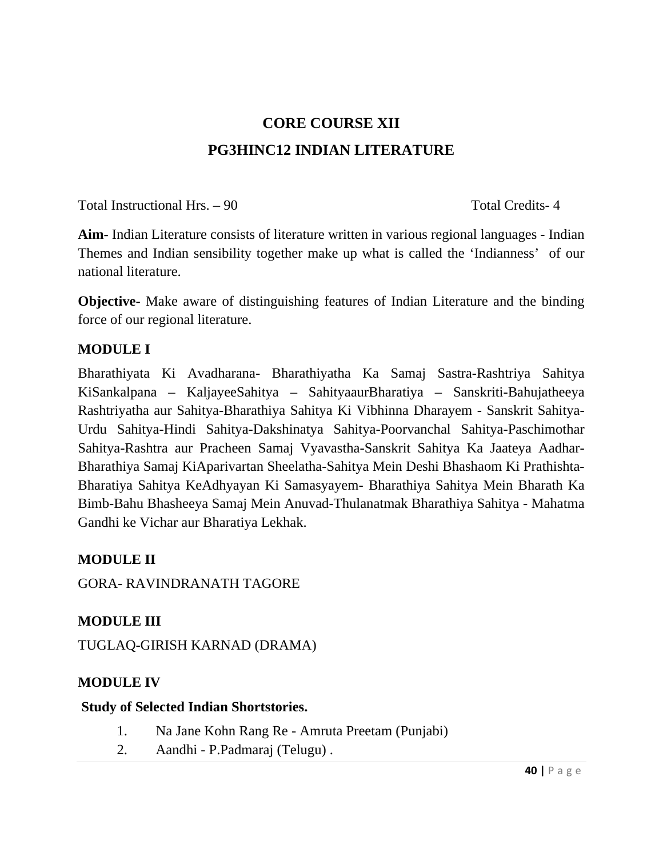# **CORE COURSE XII PG3HINC12 INDIAN LITERATURE**

Total Instructional Hrs. – 90 Total Credits- 4

**Aim-** Indian Literature consists of literature written in various regional languages - Indian Themes and Indian sensibility together make up what is called the 'Indianness' of our national literature.

**Objective-** Make aware of distinguishing features of Indian Literature and the binding force of our regional literature.

# **MODULE I**

Bharathiyata Ki Avadharana- Bharathiyatha Ka Samaj Sastra-Rashtriya Sahitya KiSankalpana – KaljayeeSahitya – SahityaaurBharatiya – Sanskriti-Bahujatheeya Rashtriyatha aur Sahitya-Bharathiya Sahitya Ki Vibhinna Dharayem - Sanskrit Sahitya-Urdu Sahitya-Hindi Sahitya-Dakshinatya Sahitya-Poorvanchal Sahitya-Paschimothar Sahitya-Rashtra aur Pracheen Samaj Vyavastha-Sanskrit Sahitya Ka Jaateya Aadhar-Bharathiya Samaj KiAparivartan Sheelatha-Sahitya Mein Deshi Bhashaom Ki Prathishta-Bharatiya Sahitya KeAdhyayan Ki Samasyayem- Bharathiya Sahitya Mein Bharath Ka Bimb-Bahu Bhasheeya Samaj Mein Anuvad-Thulanatmak Bharathiya Sahitya - Mahatma Gandhi ke Vichar aur Bharatiya Lekhak.

### **MODULE II**

GORA- RAVINDRANATH TAGORE

# **MODULE III**

TUGLAQ-GIRISH KARNAD (DRAMA)

### **MODULE IV**

### **Study of Selected Indian Shortstories.**

- 1. Na Jane Kohn Rang Re Amruta Preetam (Punjabi)
- 2. Aandhi P.Padmaraj (Telugu) .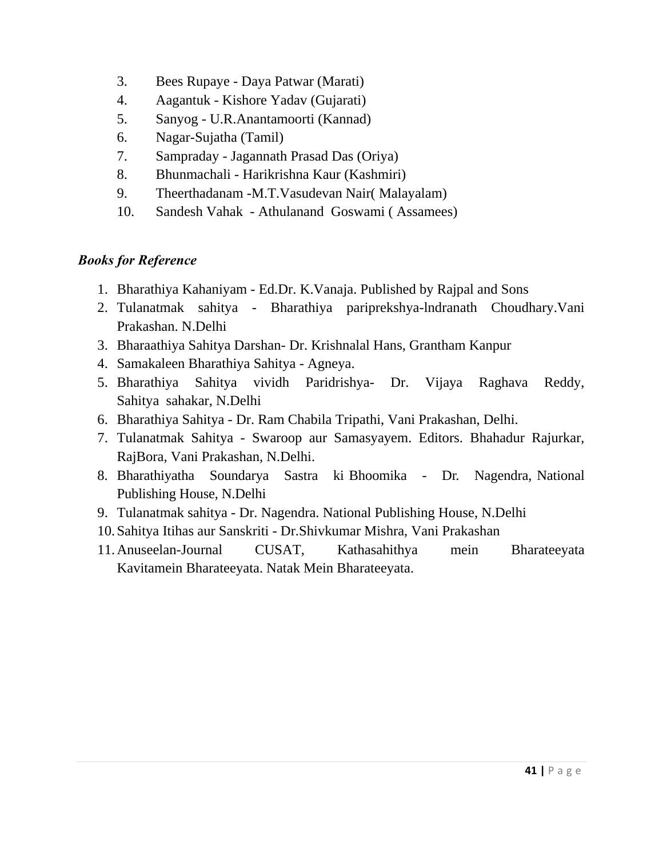- 3. Bees Rupaye Daya Patwar (Marati)
- 4. Aagantuk Kishore Yadav (Gujarati)
- 5. Sanyog U.R.Anantamoorti (Kannad)
- 6. Nagar-Sujatha (Tamil)
- 7. Sampraday Jagannath Prasad Das (Oriya)
- 8. Bhunmachali Harikrishna Kaur (Kashmiri)
- 9. Theerthadanam -M.T.Vasudevan Nair( Malayalam)
- 10. Sandesh Vahak Athulanand Goswami ( Assamees)

- 1. Bharathiya Kahaniyam Ed.Dr. K.Vanaja. Published by Rajpal and Sons
- 2. Tulanatmak sahitya Bharathiya pariprekshya-lndranath Choudhary.Vani Prakashan. N.Delhi
- 3. Bharaathiya Sahitya Darshan- Dr. Krishnalal Hans, Grantham Kanpur
- 4. Samakaleen Bharathiya Sahitya Agneya.
- 5. Bharathiya Sahitya vividh Paridrishya- Dr. Vijaya Raghava Reddy, Sahitya sahakar, N.Delhi
- 6. Bharathiya Sahitya Dr. Ram Chabila Tripathi, Vani Prakashan, Delhi.
- 7. Tulanatmak Sahitya Swaroop aur Samasyayem. Editors. Bhahadur Rajurkar, RajBora, Vani Prakashan, N.Delhi.
- 8. Bharathiyatha Soundarya Sastra ki Bhoomika Dr. Nagendra, National Publishing House, N.Delhi
- 9. Tulanatmak sahitya Dr. Nagendra. National Publishing House, N.Delhi
- 10.Sahitya Itihas aur Sanskriti Dr.Shivkumar Mishra, Vani Prakashan
- 11.Anuseelan-Journal CUSAT, Kathasahithya mein Bharateeyata Kavitamein Bharateeyata. Natak Mein Bharateeyata.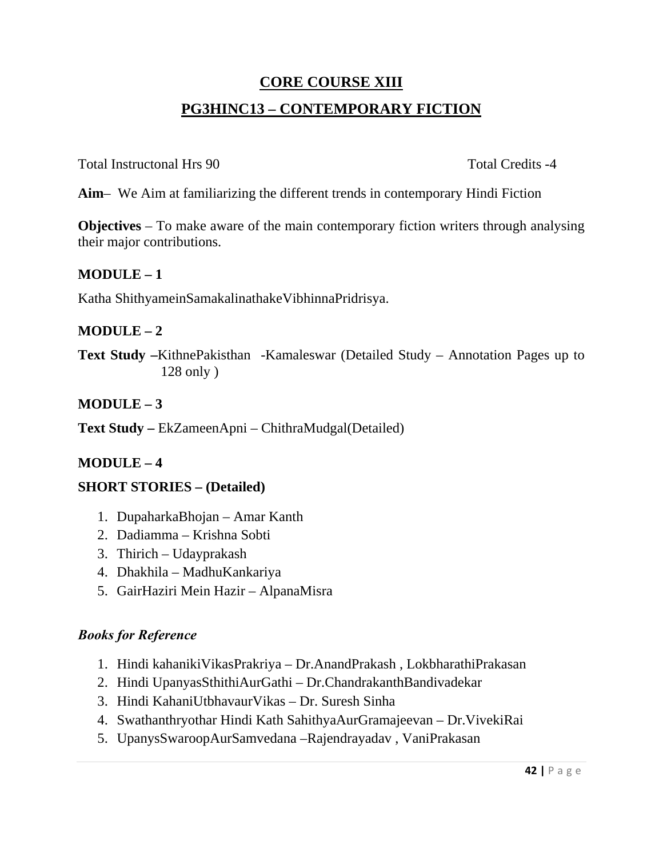# **CORE COURSE XIII PG3HINC13 – CONTEMPORARY FICTION**

Total Instructonal Hrs 90 Total Credits -4

**Aim**– We Aim at familiarizing the different trends in contemporary Hindi Fiction

**Objectives** – To make aware of the main contemporary fiction writers through analysing their major contributions.

## **MODULE – 1**

Katha ShithyameinSamakalinathakeVibhinnaPridrisya.

# **MODULE – 2**

**Text Study –**KithnePakisthan -Kamaleswar (Detailed Study – Annotation Pages up to 128 only )

# **MODULE – 3**

**Text Study –** EkZameenApni – ChithraMudgal(Detailed)

# **MODULE – 4**

### **SHORT STORIES – (Detailed)**

- 1. DupaharkaBhojan Amar Kanth
- 2. Dadiamma Krishna Sobti
- 3. Thirich Udayprakash
- 4. Dhakhila MadhuKankariya
- 5. GairHaziri Mein Hazir AlpanaMisra

- 1. Hindi kahanikiVikasPrakriya Dr.AnandPrakash , LokbharathiPrakasan
- 2. Hindi UpanyasSthithiAurGathi Dr.ChandrakanthBandivadekar
- 3. Hindi KahaniUtbhavaurVikas Dr. Suresh Sinha
- 4. Swathanthryothar Hindi Kath SahithyaAurGramajeevan Dr.VivekiRai
- 5. UpanysSwaroopAurSamvedana –Rajendrayadav , VaniPrakasan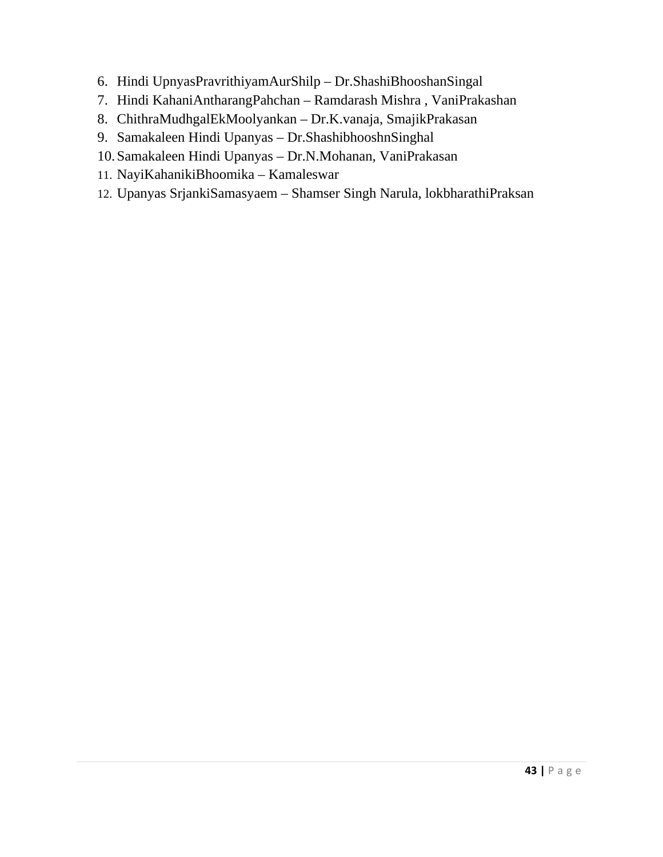- 6. Hindi UpnyasPravrithiyamAurShilp Dr.ShashiBhooshanSingal
- 7. Hindi KahaniAntharangPahchan Ramdarash Mishra , VaniPrakashan
- 8. ChithraMudhgalEkMoolyankan Dr.K.vanaja, SmajikPrakasan
- 9. Samakaleen Hindi Upanyas Dr.ShashibhooshnSinghal
- 10.Samakaleen Hindi Upanyas Dr.N.Mohanan, VaniPrakasan
- 11. NayiKahanikiBhoomika Kamaleswar
- 12. Upanyas SrjankiSamasyaem Shamser Singh Narula, lokbharathiPraksan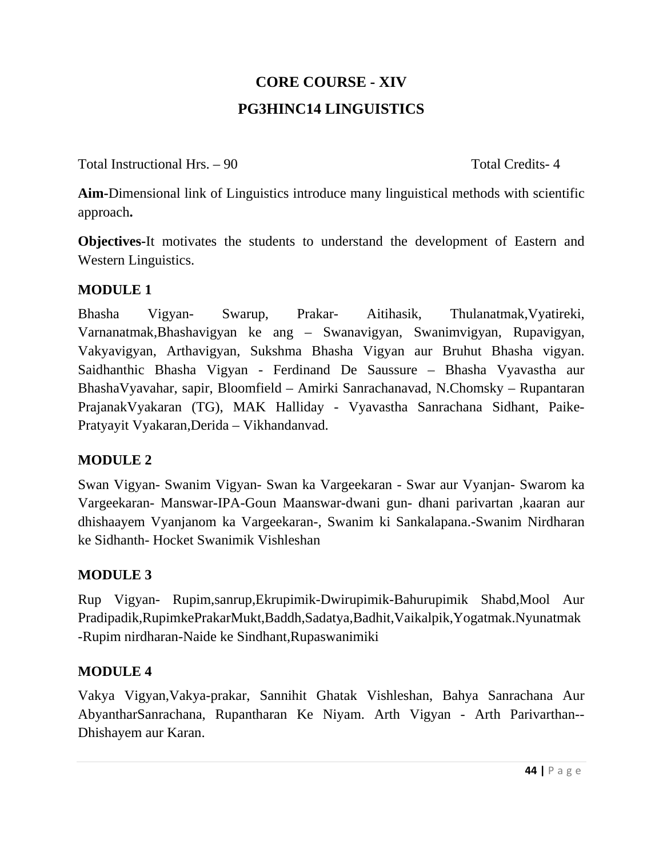# **CORE COURSE - XIV PG3HINC14 LINGUISTICS**

Total Instructional Hrs. – 90 Total Credits- 4

**Aim-**Dimensional link of Linguistics introduce many linguistical methods with scientific approach**.** 

**Objectives-**It motivates the students to understand the development of Eastern and Western Linguistics.

# **MODULE 1**

Bhasha Vigyan- Swarup, Prakar- Aitihasik, Thulanatmak,Vyatireki, Varnanatmak,Bhashavigyan ke ang – Swanavigyan, Swanimvigyan, Rupavigyan, Vakyavigyan, Arthavigyan, Sukshma Bhasha Vigyan aur Bruhut Bhasha vigyan. Saidhanthic Bhasha Vigyan - Ferdinand De Saussure – Bhasha Vyavastha aur BhashaVyavahar, sapir, Bloomfield – Amirki Sanrachanavad, N.Chomsky – Rupantaran PrajanakVyakaran (TG), MAK Halliday - Vyavastha Sanrachana Sidhant, Paike-Pratyayit Vyakaran,Derida – Vikhandanvad.

# **MODULE 2**

Swan Vigyan- Swanim Vigyan- Swan ka Vargeekaran - Swar aur Vyanjan- Swarom ka Vargeekaran- Manswar-IPA-Goun Maanswar-dwani gun- dhani parivartan ,kaaran aur dhishaayem Vyanjanom ka Vargeekaran-, Swanim ki Sankalapana.-Swanim Nirdharan ke Sidhanth- Hocket Swanimik Vishleshan

# **MODULE 3**

Rup Vigyan- Rupim,sanrup,Ekrupimik-Dwirupimik-Bahurupimik Shabd,Mool Aur Pradipadik,RupimkePrakarMukt,Baddh,Sadatya,Badhit,Vaikalpik,Yogatmak.Nyunatmak -Rupim nirdharan-Naide ke Sindhant,Rupaswanimiki

# **MODULE 4**

Vakya Vigyan,Vakya-prakar, Sannihit Ghatak Vishleshan, Bahya Sanrachana Aur AbyantharSanrachana, Rupantharan Ke Niyam. Arth Vigyan - Arth Parivarthan-- Dhishayem aur Karan.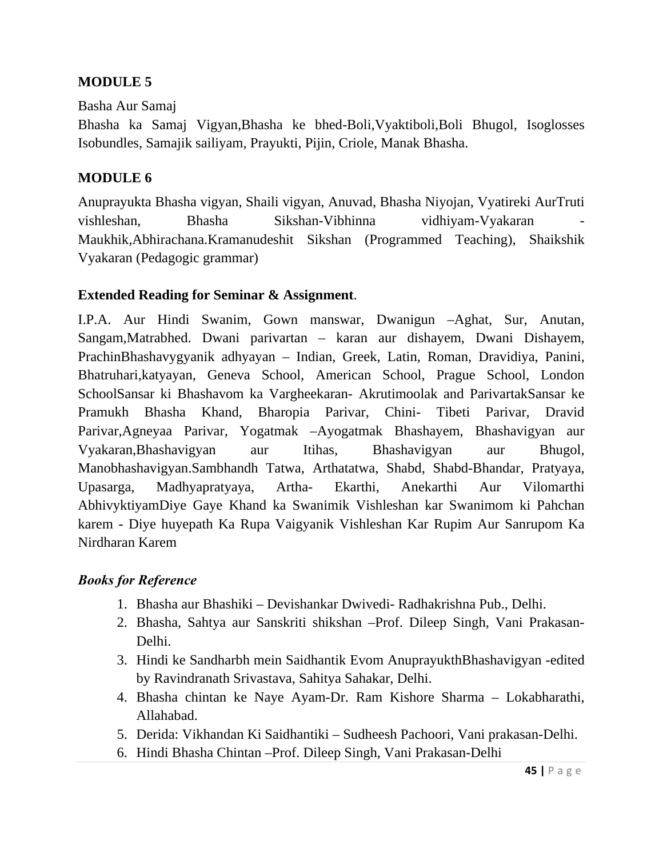## **MODULE 5**

#### Basha Aur Samaj

Bhasha ka Samaj Vigyan,Bhasha ke bhed-Boli,Vyaktiboli,Boli Bhugol, Isoglosses Isobundles, Samajik sailiyam, Prayukti, Pijin, Criole, Manak Bhasha.

#### **MODULE 6**

Anuprayukta Bhasha vigyan, Shaili vigyan, Anuvad, Bhasha Niyojan, Vyatireki AurTruti vishleshan, Bhasha Sikshan-Vibhinna vidhiyam-Vyakaran Maukhik,Abhirachana.Kramanudeshit Sikshan (Programmed Teaching), Shaikshik Vyakaran (Pedagogic grammar)

### **Extended Reading for Seminar & Assignment**.

I.P.A. Aur Hindi Swanim, Gown manswar, Dwanigun –Aghat, Sur, Anutan, Sangam,Matrabhed. Dwani parivartan – karan aur dishayem, Dwani Dishayem, PrachinBhashavygyanik adhyayan – Indian, Greek, Latin, Roman, Dravidiya, Panini, Bhatruhari,katyayan, Geneva School, American School, Prague School, London SchoolSansar ki Bhashavom ka Vargheekaran- Akrutimoolak and ParivartakSansar ke Pramukh Bhasha Khand, Bharopia Parivar, Chini- Tibeti Parivar, Dravid Parivar,Agneyaa Parivar, Yogatmak –Ayogatmak Bhashayem, Bhashavigyan aur Vyakaran,Bhashavigyan aur Itihas, Bhashavigyan aur Bhugol, Manobhashavigyan.Sambhandh Tatwa, Arthatatwa, Shabd, Shabd-Bhandar, Pratyaya, Upasarga, Madhyapratyaya, Artha- Ekarthi, Anekarthi Aur Vilomarthi AbhivyktiyamDiye Gaye Khand ka Swanimik Vishleshan kar Swanimom ki Pahchan karem - Diye huyepath Ka Rupa Vaigyanik Vishleshan Kar Rupim Aur Sanrupom Ka Nirdharan Karem

- 1. Bhasha aur Bhashiki Devishankar Dwivedi- Radhakrishna Pub., Delhi.
- 2. Bhasha, Sahtya aur Sanskriti shikshan –Prof. Dileep Singh, Vani Prakasan-Delhi.
- 3. Hindi ke Sandharbh mein Saidhantik Evom AnuprayukthBhashavigyan -edited by Ravindranath Srivastava, Sahitya Sahakar, Delhi.
- 4. Bhasha chintan ke Naye Ayam-Dr. Ram Kishore Sharma Lokabharathi, Allahabad.
- 5. Derida: Vikhandan Ki Saidhantiki Sudheesh Pachoori, Vani prakasan-Delhi.
- 6. Hindi Bhasha Chintan –Prof. Dileep Singh, Vani Prakasan-Delhi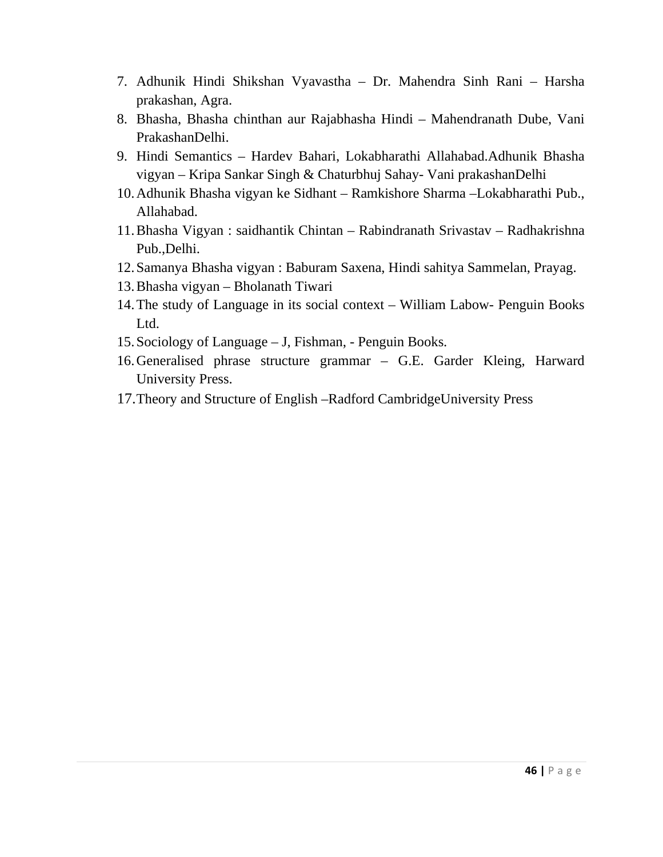- 7. Adhunik Hindi Shikshan Vyavastha Dr. Mahendra Sinh Rani Harsha prakashan, Agra.
- 8. Bhasha, Bhasha chinthan aur Rajabhasha Hindi Mahendranath Dube, Vani PrakashanDelhi.
- 9. Hindi Semantics Hardev Bahari, Lokabharathi Allahabad.Adhunik Bhasha vigyan – Kripa Sankar Singh & Chaturbhuj Sahay- Vani prakashanDelhi
- 10.Adhunik Bhasha vigyan ke Sidhant Ramkishore Sharma –Lokabharathi Pub., Allahabad.
- 11.Bhasha Vigyan : saidhantik Chintan Rabindranath Srivastav Radhakrishna Pub.,Delhi.
- 12.Samanya Bhasha vigyan : Baburam Saxena, Hindi sahitya Sammelan, Prayag.
- 13.Bhasha vigyan Bholanath Tiwari
- 14.The study of Language in its social context William Labow- Penguin Books Ltd.
- 15.Sociology of Language J, Fishman, Penguin Books.
- 16.Generalised phrase structure grammar G.E. Garder Kleing, Harward University Press.
- 17.Theory and Structure of English –Radford CambridgeUniversity Press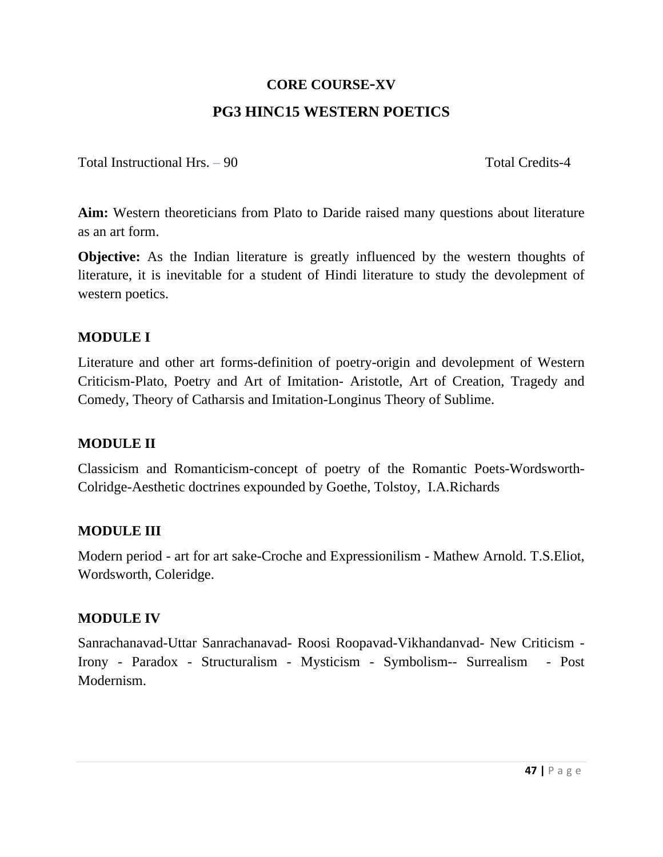# **CORE COURSE-XV PG3 HINC15 WESTERN POETICS**

Total Instructional Hrs. – 90 Total Credits-4

**Aim:** Western theoreticians from Plato to Daride raised many questions about literature as an art form.

**Objective:** As the Indian literature is greatly influenced by the western thoughts of literature, it is inevitable for a student of Hindi literature to study the devolepment of western poetics.

## **MODULE I**

Literature and other art forms-definition of poetry-origin and devolepment of Western Criticism-Plato, Poetry and Art of Imitation- Aristotle, Art of Creation, Tragedy and Comedy, Theory of Catharsis and Imitation-Longinus Theory of Sublime.

### **MODULE II**

Classicism and Romanticism-concept of poetry of the Romantic Poets-Wordsworth-Colridge-Aesthetic doctrines expounded by Goethe, Tolstoy, I.A.Richards

# **MODULE III**

Modern period - art for art sake-Croche and Expressionilism - Mathew Arnold. T.S.Eliot, Wordsworth, Coleridge.

### **MODULE IV**

Sanrachanavad-Uttar Sanrachanavad- Roosi Roopavad-Vikhandanvad- New Criticism - Irony - Paradox - Structuralism - Mysticism - Symbolism-- Surrealism - Post Modernism.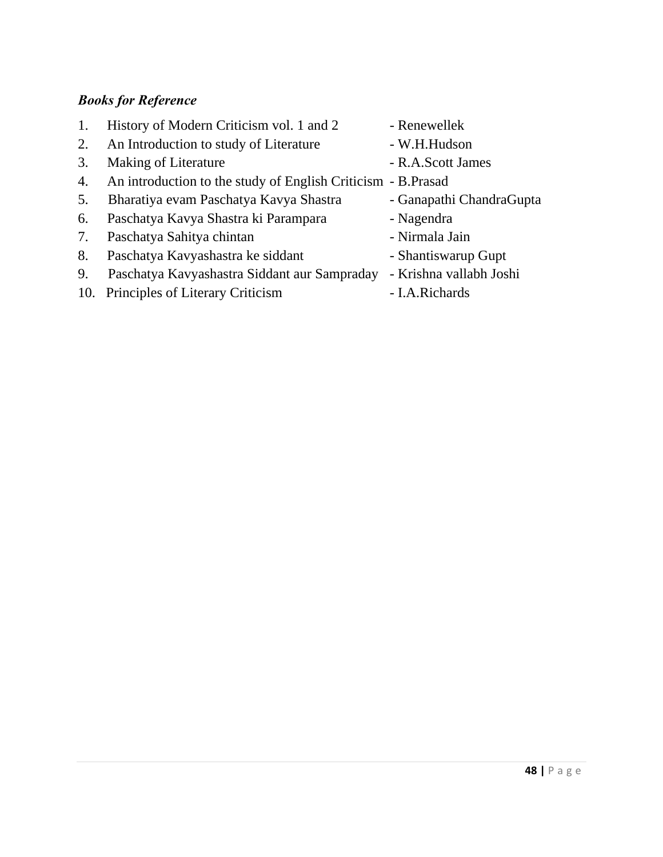- 1. History of Modern Criticism vol. 1 and 2 Renewellek
- 2. An Introduction to study of Literature W.H.Hudson
- 3. Making of Literature R.A.Scott James
- 4. An introduction to the study of English Criticism B.Prasad
- 5. Bharatiya evam Paschatya Kavya Shastra Ganapathi ChandraGupta
- 6. Paschatya Kavya Shastra ki Parampara Nagendra
- 7. Paschatya Sahitya chintan Nirmala Jain
- 8. Paschatya Kavyashastra ke siddant Shantiswarup Gupt
- 9. Paschatya Kavyashastra Siddant aur Sampraday Krishna vallabh Joshi
- 10. Principles of Literary Criticism I.A.Richards
- 
- 
- 
- -
	-
	-
	-
	-
	-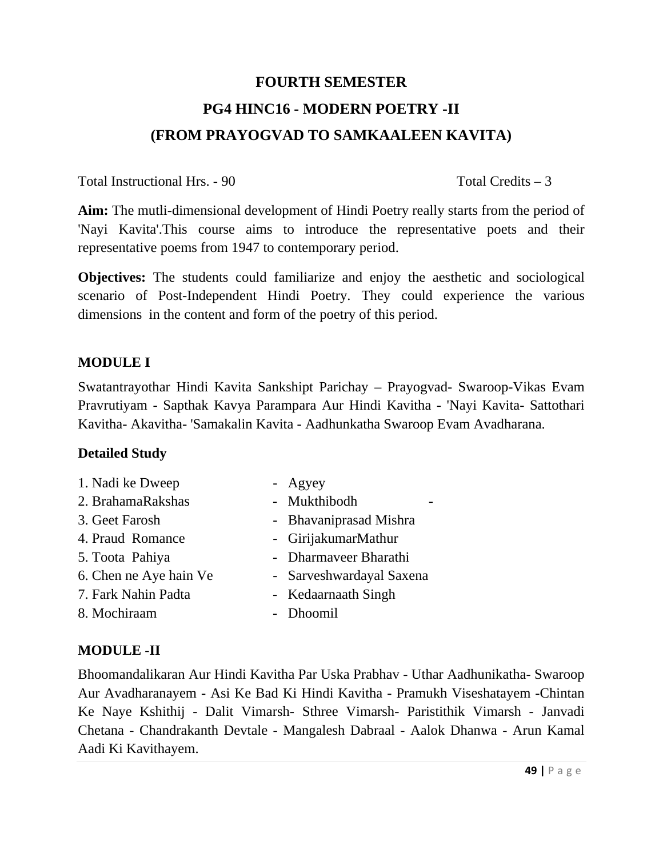# **FOURTH SEMESTER PG4 HINC16 - MODERN POETRY -II (FROM PRAYOGVAD TO SAMKAALEEN KAVITA)**

Total Instructional Hrs. - 90 Total Credits – 3

**Aim:** The mutli-dimensional development of Hindi Poetry really starts from the period of 'Nayi Kavita'.This course aims to introduce the representative poets and their representative poems from 1947 to contemporary period.

**Objectives:** The students could familiarize and enjoy the aesthetic and sociological scenario of Post-Independent Hindi Poetry. They could experience the various dimensions in the content and form of the poetry of this period.

## **MODULE I**

Swatantrayothar Hindi Kavita Sankshipt Parichay – Prayogvad- Swaroop-Vikas Evam Pravrutiyam - Sapthak Kavya Parampara Aur Hindi Kavitha - 'Nayi Kavita- Sattothari Kavitha- Akavitha- 'Samakalin Kavita - Aadhunkatha Swaroop Evam Avadharana.

### **Detailed Study**

- 1. Nadi ke Dweep Agyey
- 2. BrahamaRakshas Mukthibodh
- 
- 
- 
- 
- 
- 
- 
- 
- 3. Geet Farosh Bhavaniprasad Mishra
- 4. Praud Romance GirijakumarMathur
- 5. Toota Pahiya Dharmaveer Bharathi
- 6. Chen ne Aye hain Ve Sarveshwardayal Saxena
- 7. Fark Nahin Padta Kedaarnaath Singh
- 8. Mochiraam Dhoomil

# **MODULE -II**

Bhoomandalikaran Aur Hindi Kavitha Par Uska Prabhav - Uthar Aadhunikatha- Swaroop Aur Avadharanayem - Asi Ke Bad Ki Hindi Kavitha - Pramukh Viseshatayem -Chintan Ke Naye Kshithij - Dalit Vimarsh- Sthree Vimarsh- Paristithik Vimarsh - Janvadi Chetana - Chandrakanth Devtale - Mangalesh Dabraal - Aalok Dhanwa - Arun Kamal Aadi Ki Kavithayem.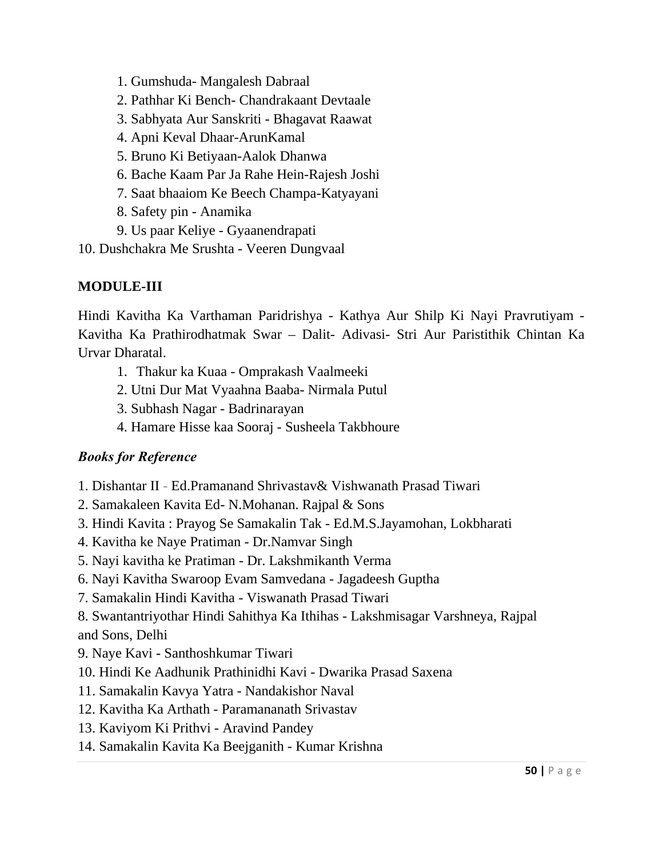- 1. Gumshuda- Mangalesh Dabraal
- 2. Pathhar Ki Bench- Chandrakaant Devtaale
- 3. Sabhyata Aur Sanskriti Bhagavat Raawat
- 4. Apni Keval Dhaar-ArunKamal
- 5. Bruno Ki Betiyaan-Aalok Dhanwa
- 6. Bache Kaam Par Ja Rahe Hein-Rajesh Joshi
- 7. Saat bhaaiom Ke Beech Champa-Katyayani
- 8. Safety pin Anamika
- 9. Us paar Keliye Gyaanendrapati

10. Dushchakra Me Srushta - Veeren Dungvaal

# **MODULE-III**

Hindi Kavitha Ka Varthaman Paridrishya - Kathya Aur Shilp Ki Nayi Pravrutiyam - Kavitha Ka Prathirodhatmak Swar – Dalit- Adivasi- Stri Aur Paristithik Chintan Ka Urvar Dharatal.

- 1. Thakur ka Kuaa Omprakash Vaalmeeki
- 2. Utni Dur Mat Vyaahna Baaba- Nirmala Putul
- 3. Subhash Nagar Badrinarayan
- 4. Hamare Hisse kaa Sooraj Susheela Takbhoure

# *Books for Reference*

- 1. Dishantar II Ed.Pramanand Shrivastav& Vishwanath Prasad Tiwari
- 2. Samakaleen Kavita Ed- N.Mohanan. Rajpal & Sons
- 3. Hindi Kavita : Prayog Se Samakalin Tak Ed.M.S.Jayamohan, Lokbharati
- 4. Kavitha ke Naye Pratiman Dr.Namvar Singh
- 5. Nayi kavitha ke Pratiman Dr. Lakshmikanth Verma
- 6. Nayi Kavitha Swaroop Evam Samvedana Jagadeesh Guptha
- 7. Samakalin Hindi Kavitha Viswanath Prasad Tiwari

8. Swantantriyothar Hindi Sahithya Ka Ithihas - Lakshmisagar Varshneya, Rajpal and Sons, Delhi

- 9. Naye Kavi Santhoshkumar Tiwari
- 10. Hindi Ke Aadhunik Prathinidhi Kavi Dwarika Prasad Saxena
- 11. Samakalin Kavya Yatra Nandakishor Naval
- 12. Kavitha Ka Arthath Paramananath Srivastav
- 13. Kaviyom Ki Prithvi Aravind Pandey
- 14. Samakalin Kavita Ka Beejganith Kumar Krishna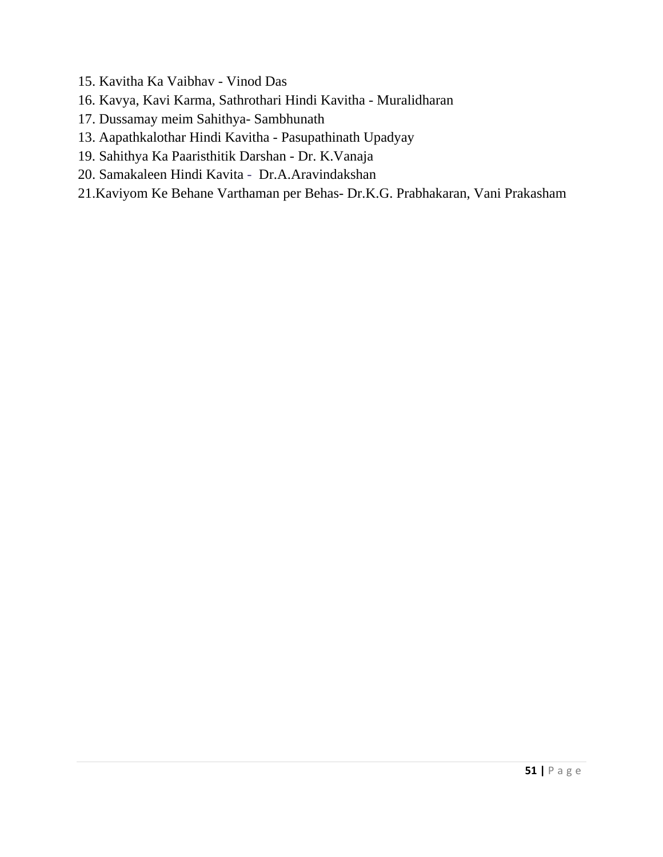- 15. Kavitha Ka Vaibhav Vinod Das
- 16. Kavya, Kavi Karma, Sathrothari Hindi Kavitha Muralidharan
- 17. Dussamay meim Sahithya- Sambhunath
- 13. Aapathkalothar Hindi Kavitha Pasupathinath Upadyay
- 19. Sahithya Ka Paaristhitik Darshan Dr. K.Vanaja
- 20. Samakaleen Hindi Kavita Dr.A.Aravindakshan
- 21.Kaviyom Ke Behane Varthaman per Behas- Dr.K.G. Prabhakaran, Vani Prakasham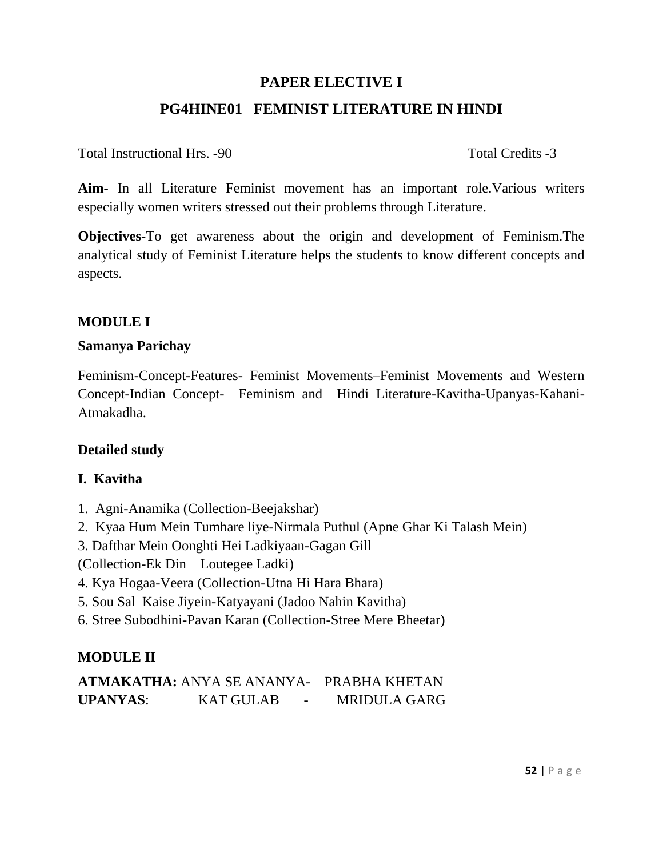# **PAPER ELECTIVE I PG4HINE01 FEMINIST LITERATURE IN HINDI**

Total Instructional Hrs. -90 Total Credits -3

**Aim**- In all Literature Feminist movement has an important role.Various writers especially women writers stressed out their problems through Literature.

**Objectives**-To get awareness about the origin and development of Feminism.The analytical study of Feminist Literature helps the students to know different concepts and aspects.

## **MODULE I**

#### **Samanya Parichay**

Feminism-Concept-Features- Feminist Movements–Feminist Movements and Western Concept-Indian Concept- Feminism and Hindi Literature-Kavitha-Upanyas-Kahani-Atmakadha.

### **Detailed study**

### **I. Kavitha**

- 1. Agni-Anamika (Collection-Beejakshar)
- 2. Kyaa Hum Mein Tumhare liye-Nirmala Puthul (Apne Ghar Ki Talash Mein)
- 3. Dafthar Mein Oonghti Hei Ladkiyaan-Gagan Gill

(Collection-Ek Din Loutegee Ladki)

- 4. Kya Hogaa-Veera (Collection-Utna Hi Hara Bhara)
- 5. Sou Sal Kaise Jiyein-Katyayani (Jadoo Nahin Kavitha)
- 6. Stree Subodhini-Pavan Karan (Collection-Stree Mere Bheetar)

### **MODULE II**

|                 | <b>ATMAKATHA: ANYA SE ANANYA- PRABHA KHETAN</b> |                     |
|-----------------|-------------------------------------------------|---------------------|
| <b>UPANYAS:</b> | <b>KAT GULAB</b><br>$\sim$                      | <b>MRIDULA GARG</b> |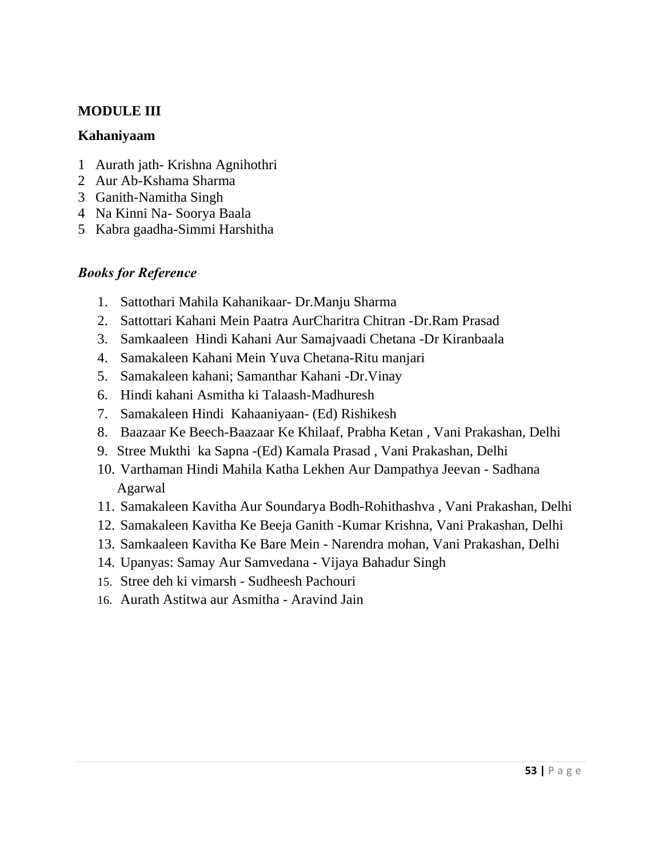### **MODULE III**

#### **Kahaniyaam**

- 1 Aurath jath- Krishna Agnihothri
- 2 Aur Ab-Kshama Sharma
- 3 Ganith-Namitha Singh
- 4 Na Kinni Na- Soorya Baala
- 5 Kabra gaadha-Simmi Harshitha

- 1. Sattothari Mahila Kahanikaar- Dr.Manju Sharma
- 2. Sattottari Kahani Mein Paatra AurCharitra Chitran -Dr.Ram Prasad
- 3. Samkaaleen Hindi Kahani Aur Samajvaadi Chetana -Dr Kiranbaala
- 4. Samakaleen Kahani Mein Yuva Chetana-Ritu manjari
- 5. Samakaleen kahani; Samanthar Kahani -Dr.Vinay
- 6. Hindi kahani Asmitha ki Talaash-Madhuresh
- 7. Samakaleen Hindi Kahaaniyaan- (Ed) Rishikesh
- 8. Baazaar Ke Beech-Baazaar Ke Khilaaf, Prabha Ketan , Vani Prakashan, Delhi
- 9. Stree Mukthi ka Sapna -(Ed) Kamala Prasad , Vani Prakashan, Delhi
- 10. Varthaman Hindi Mahila Katha Lekhen Aur Dampathya Jeevan Sadhana Agarwal
- 11. Samakaleen Kavitha Aur Soundarya Bodh-Rohithashva , Vani Prakashan, Delhi
- 12. Samakaleen Kavitha Ke Beeja Ganith -Kumar Krishna, Vani Prakashan, Delhi
- 13. Samkaaleen Kavitha Ke Bare Mein Narendra mohan, Vani Prakashan, Delhi
- 14. Upanyas: Samay Aur Samvedana Vijaya Bahadur Singh
- 15. Stree deh ki vimarsh Sudheesh Pachouri
- 16. Aurath Astitwa aur Asmitha Aravind Jain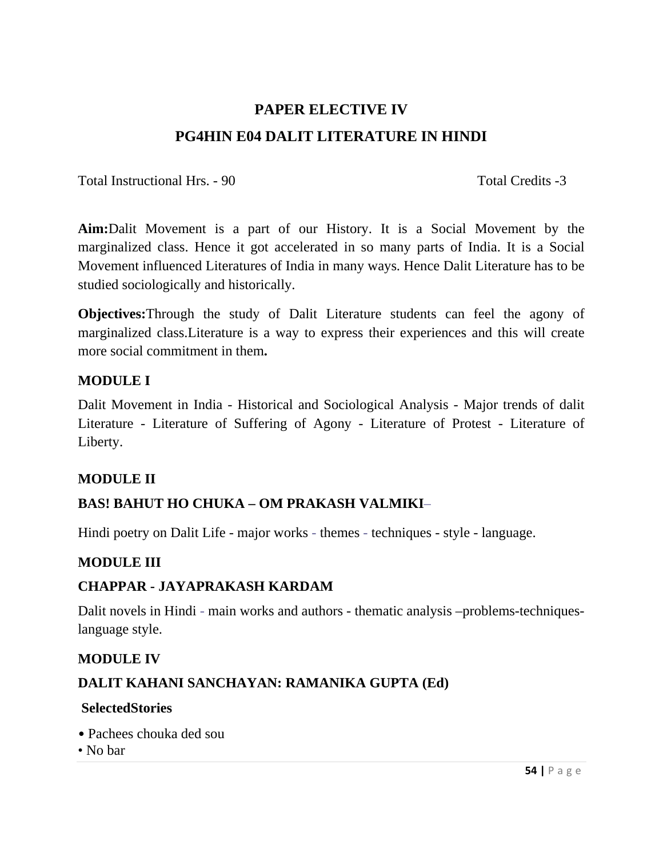# **PAPER ELECTIVE IV PG4HIN E04 DALIT LITERATURE IN HINDI**

Total Instructional Hrs. - 90 Total Credits -3

**Aim:**Dalit Movement is a part of our History. It is a Social Movement by the marginalized class. Hence it got accelerated in so many parts of India. It is a Social Movement influenced Literatures of India in many ways. Hence Dalit Literature has to be studied sociologically and historically.

**Objectives:**Through the study of Dalit Literature students can feel the agony of marginalized class.Literature is a way to express their experiences and this will create more social commitment in them**.** 

## **MODULE I**

Dalit Movement in India - Historical and Sociological Analysis - Major trends of dalit Literature - Literature of Suffering of Agony - Literature of Protest - Literature of Liberty.

### **MODULE II**

# **BAS! BAHUT HO CHUKA – OM PRAKASH VALMIKI**–

Hindi poetry on Dalit Life - major works - themes - techniques - style - language.

# **MODULE III**

# **CHAPPAR - JAYAPRAKASH KARDAM**

Dalit novels in Hindi - main works and authors - thematic analysis –problems-techniqueslanguage style.

### **MODULE IV**

# **DALIT KAHANI SANCHAYAN: RAMANIKA GUPTA (Ed)**

#### **SelectedStories**

- Pachees chouka ded sou
- No bar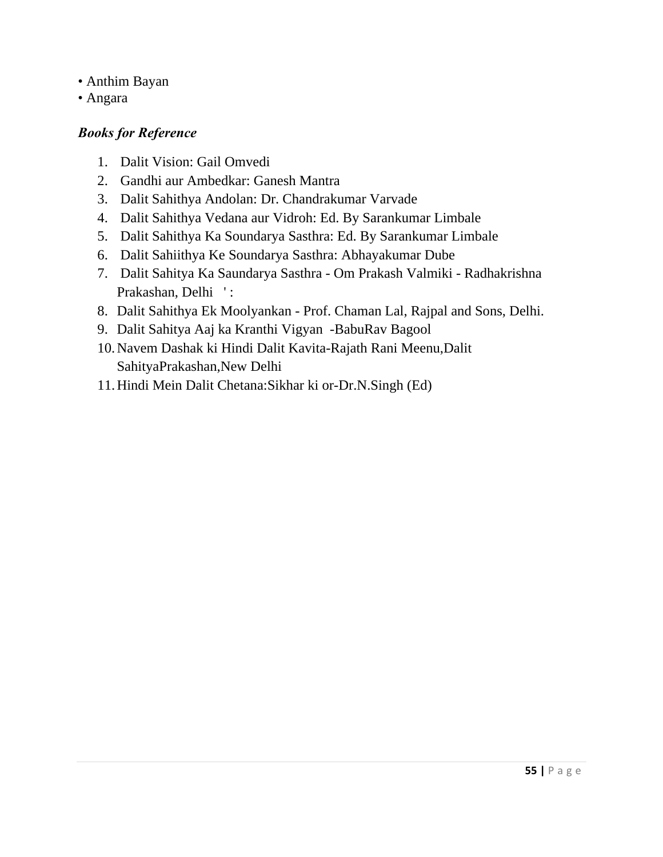- Anthim Bayan
- Angara

- 1. Dalit Vision: Gail Omvedi
- 2. Gandhi aur Ambedkar: Ganesh Mantra
- 3. Dalit Sahithya Andolan: Dr. Chandrakumar Varvade
- 4. Dalit Sahithya Vedana aur Vidroh: Ed. By Sarankumar Limbale
- 5. Dalit Sahithya Ka Soundarya Sasthra: Ed. By Sarankumar Limbale
- 6. Dalit Sahiithya Ke Soundarya Sasthra: Abhayakumar Dube
- 7. Dalit Sahitya Ka Saundarya Sasthra Om Prakash Valmiki Radhakrishna Prakashan, Delhi ':
- 8. Dalit Sahithya Ek Moolyankan Prof. Chaman Lal, Rajpal and Sons, Delhi.
- 9. Dalit Sahitya Aaj ka Kranthi Vigyan -BabuRav Bagool
- 10.Navem Dashak ki Hindi Dalit Kavita-Rajath Rani Meenu,Dalit SahityaPrakashan,New Delhi
- 11.Hindi Mein Dalit Chetana:Sikhar ki or-Dr.N.Singh (Ed)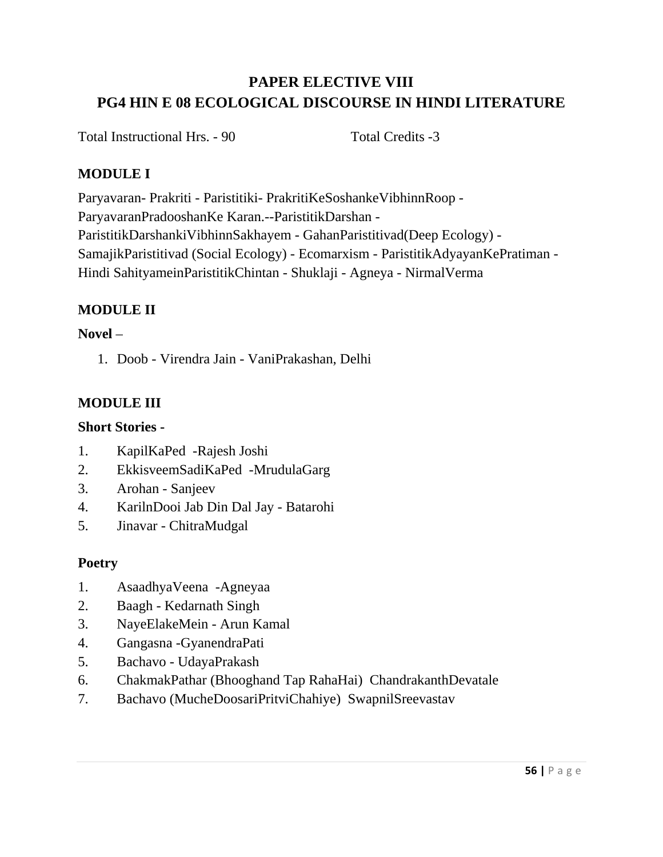# **PAPER ELECTIVE VIII PG4 HIN E 08 ECOLOGICAL DISCOURSE IN HINDI LITERATURE**

Total Instructional Hrs. - 90 Total Credits -3

# **MODULE I**

Paryavaran- Prakriti - Paristitiki- PrakritiKeSoshankeVibhinnRoop - ParyavaranPradooshanKe Karan.--ParistitikDarshan - ParistitikDarshankiVibhinnSakhayem - GahanParistitivad(Deep Ecology) - SamajikParistitivad (Social Ecology) - Ecomarxism - ParistitikAdyayanKePratiman - Hindi SahityameinParistitikChintan - Shuklaji - Agneya - NirmalVerma

# **MODULE II**

### **Novel** –

1. Doob - Virendra Jain - VaniPrakashan, Delhi

# **MODULE III**

## **Short Stories -**

- 1. KapilKaPed -Rajesh Joshi
- 2. EkkisveemSadiKaPed -MrudulaGarg
- 3. Arohan Sanjeev
- 4. KarilnDooi Jab Din Dal Jay Batarohi
- 5. Jinavar ChitraMudgal

# **Poetry**

- 1. AsaadhyaVeena -Agneyaa
- 2. Baagh Kedarnath Singh
- 3. NayeElakeMein Arun Kamal
- 4. Gangasna -GyanendraPati
- 5. Bachavo UdayaPrakash
- 6. ChakmakPathar (Bhooghand Tap RahaHai) ChandrakanthDevatale
- 7. Bachavo (MucheDoosariPritviChahiye) SwapnilSreevastav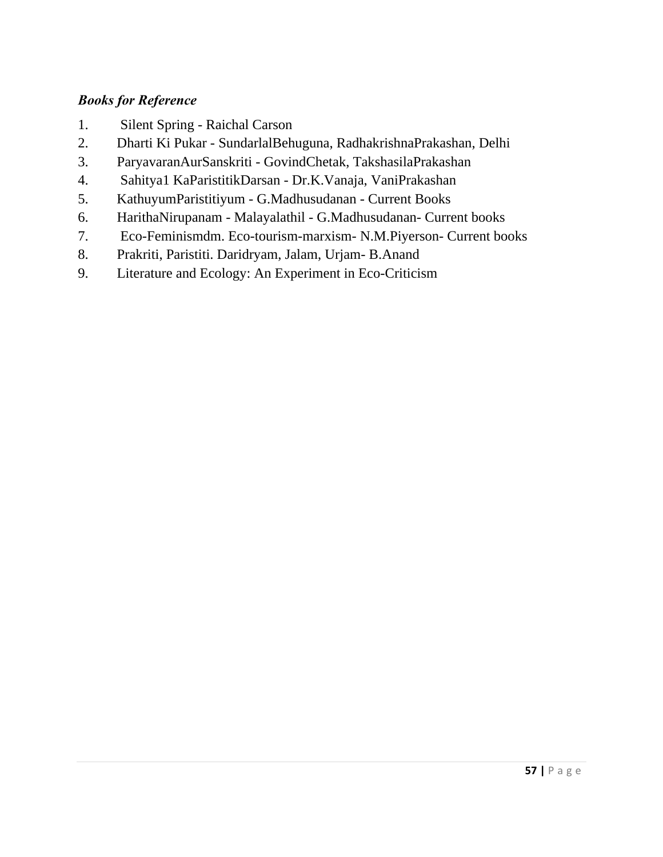- 1. Silent Spring Raichal Carson
- 2. Dharti Ki Pukar SundarlalBehuguna, RadhakrishnaPrakashan, Delhi
- 3. ParyavaranAurSanskriti GovindChetak, TakshasilaPrakashan
- 4. Sahitya1 KaParistitikDarsan Dr.K.Vanaja, VaniPrakashan
- 5. KathuyumParistitiyum G.Madhusudanan Current Books
- 6. HarithaNirupanam Malayalathil G.Madhusudanan- Current books
- 7. Eco-Feminismdm. Eco-tourism-marxism- N.M.Piyerson- Current books
- 8. Prakriti, Paristiti. Daridryam, Jalam, Urjam- B.Anand
- 9. Literature and Ecology: An Experiment in Eco-Criticism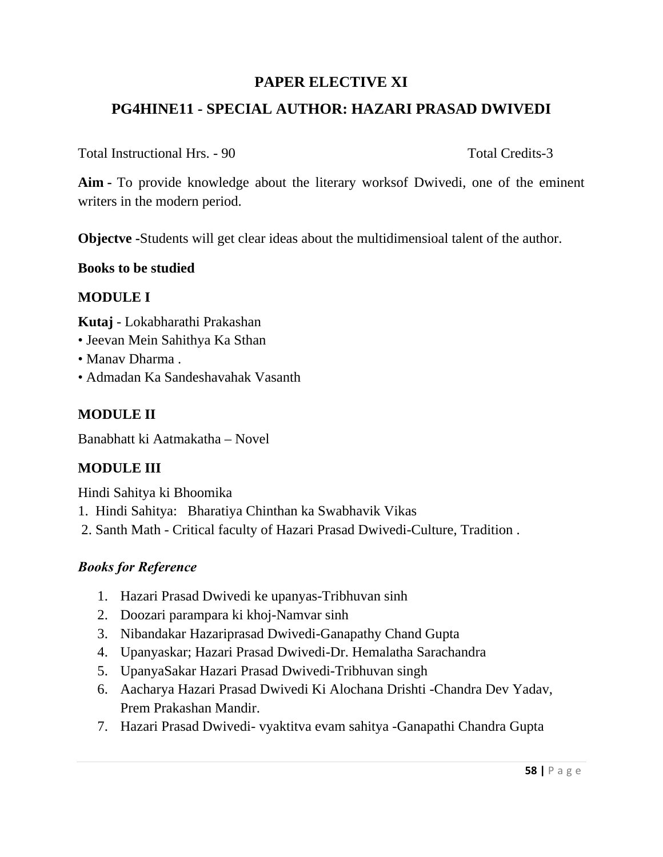# **PAPER ELECTIVE XI**

# **PG4HINE11 - SPECIAL AUTHOR: HAZARI PRASAD DWIVEDI**

Total Instructional Hrs. - 90 Total Credits-3

**Aim -** To provide knowledge about the literary worksof Dwivedi, one of the eminent writers in the modern period.

**Objectve -**Students will get clear ideas about the multidimensioal talent of the author.

## **Books to be studied**

# **MODULE I**

**Kutaj** - Lokabharathi Prakashan

- Jeevan Mein Sahithya Ka Sthan
- Manav Dharma .
- Admadan Ka Sandeshavahak Vasanth

# **MODULE II**

Banabhatt ki Aatmakatha – Novel

# **MODULE III**

Hindi Sahitya ki Bhoomika

- 1. Hindi Sahitya: Bharatiya Chinthan ka Swabhavik Vikas
- 2. Santh Math Critical faculty of Hazari Prasad Dwivedi-Culture, Tradition .

- 1. Hazari Prasad Dwivedi ke upanyas-Tribhuvan sinh
- 2. Doozari parampara ki khoj-Namvar sinh
- 3. Nibandakar Hazariprasad Dwivedi-Ganapathy Chand Gupta
- 4. Upanyaskar; Hazari Prasad Dwivedi-Dr. Hemalatha Sarachandra
- 5. UpanyaSakar Hazari Prasad Dwivedi-Tribhuvan singh
- 6. Aacharya Hazari Prasad Dwivedi Ki Alochana Drishti -Chandra Dev Yadav, Prem Prakashan Mandir.
- 7. Hazari Prasad Dwivedi- vyaktitva evam sahitya -Ganapathi Chandra Gupta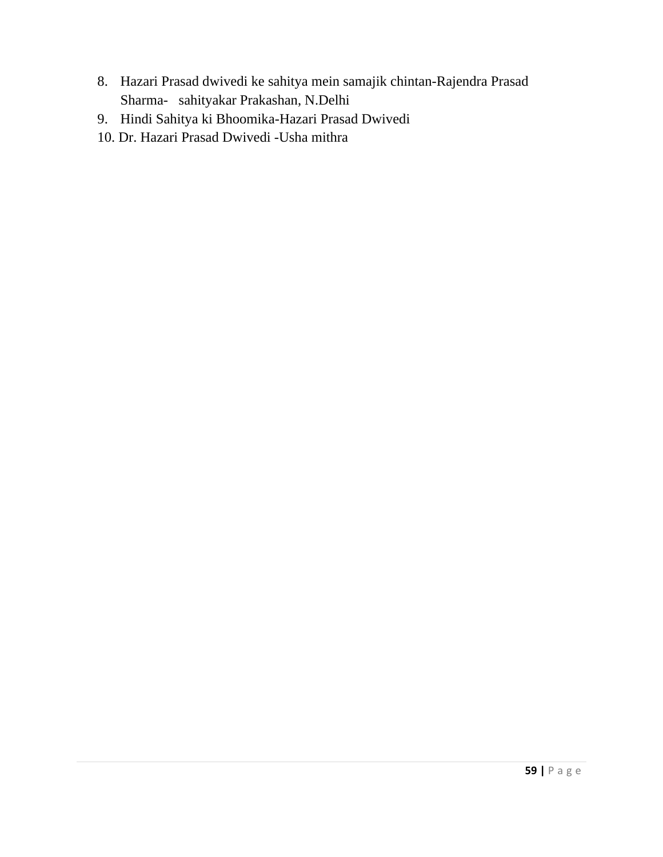- 8. Hazari Prasad dwivedi ke sahitya mein samajik chintan-Rajendra Prasad Sharma- sahityakar Prakashan, N.Delhi
- 9. Hindi Sahitya ki Bhoomika-Hazari Prasad Dwivedi
- 10. Dr. Hazari Prasad Dwivedi -Usha mithra